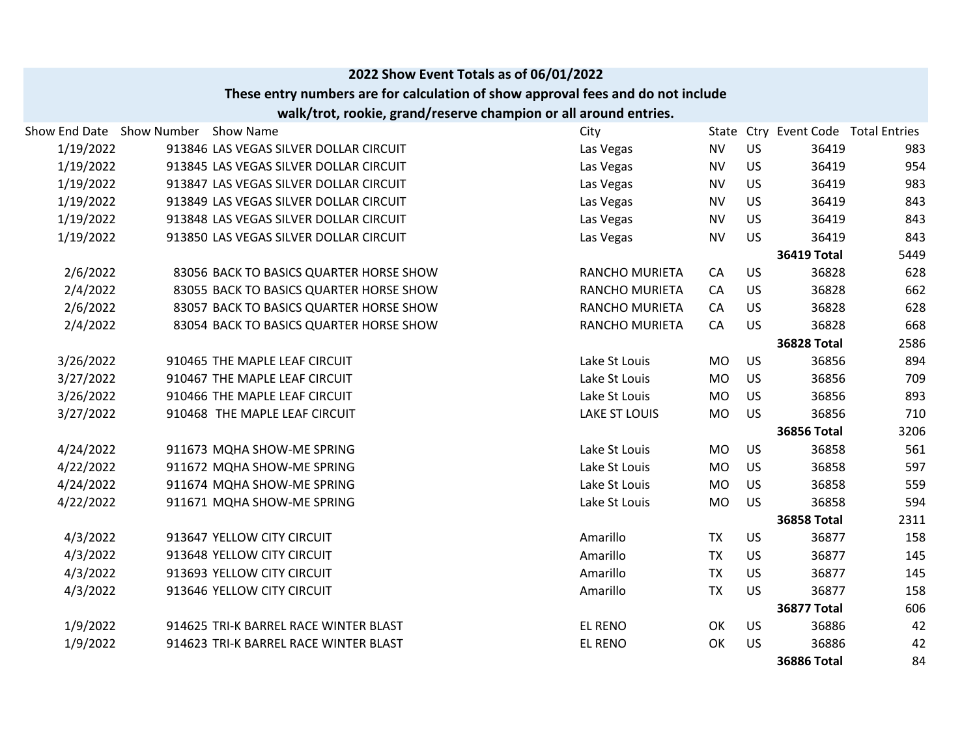|                           |                                                                                  | 2022 Show Event Totals as of 06/01/2022                          |                       |           |           |                                     |      |
|---------------------------|----------------------------------------------------------------------------------|------------------------------------------------------------------|-----------------------|-----------|-----------|-------------------------------------|------|
|                           | These entry numbers are for calculation of show approval fees and do not include |                                                                  |                       |           |           |                                     |      |
|                           |                                                                                  | walk/trot, rookie, grand/reserve champion or all around entries. |                       |           |           |                                     |      |
| Show End Date Show Number | <b>Show Name</b>                                                                 |                                                                  | City                  |           |           | State Ctry Event Code Total Entries |      |
| 1/19/2022                 | 913846 LAS VEGAS SILVER DOLLAR CIRCUIT                                           |                                                                  | Las Vegas             | <b>NV</b> | <b>US</b> | 36419                               | 983  |
| 1/19/2022                 | 913845 LAS VEGAS SILVER DOLLAR CIRCUIT                                           |                                                                  | Las Vegas             | <b>NV</b> | <b>US</b> | 36419                               | 954  |
| 1/19/2022                 | 913847 LAS VEGAS SILVER DOLLAR CIRCUIT                                           |                                                                  | Las Vegas             | <b>NV</b> | <b>US</b> | 36419                               | 983  |
| 1/19/2022                 | 913849 LAS VEGAS SILVER DOLLAR CIRCUIT                                           |                                                                  | Las Vegas             | <b>NV</b> | <b>US</b> | 36419                               | 843  |
| 1/19/2022                 | 913848 LAS VEGAS SILVER DOLLAR CIRCUIT                                           |                                                                  | Las Vegas             | <b>NV</b> | <b>US</b> | 36419                               | 843  |
| 1/19/2022                 | 913850 LAS VEGAS SILVER DOLLAR CIRCUIT                                           |                                                                  | Las Vegas             | <b>NV</b> | <b>US</b> | 36419                               | 843  |
|                           |                                                                                  |                                                                  |                       |           |           | <b>36419 Total</b>                  | 5449 |
| 2/6/2022                  | 83056 BACK TO BASICS QUARTER HORSE SHOW                                          |                                                                  | RANCHO MURIETA        | CA        | <b>US</b> | 36828                               | 628  |
| 2/4/2022                  | 83055 BACK TO BASICS QUARTER HORSE SHOW                                          |                                                                  | <b>RANCHO MURIETA</b> | CA        | <b>US</b> | 36828                               | 662  |
| 2/6/2022                  | 83057 BACK TO BASICS QUARTER HORSE SHOW                                          |                                                                  | RANCHO MURIETA        | CA        | <b>US</b> | 36828                               | 628  |
| 2/4/2022                  | 83054 BACK TO BASICS QUARTER HORSE SHOW                                          |                                                                  | RANCHO MURIETA        | CA        | <b>US</b> | 36828                               | 668  |
|                           |                                                                                  |                                                                  |                       |           |           | <b>36828 Total</b>                  | 2586 |
| 3/26/2022                 | 910465 THE MAPLE LEAF CIRCUIT                                                    |                                                                  | Lake St Louis         | <b>MO</b> | <b>US</b> | 36856                               | 894  |
| 3/27/2022                 | 910467 THE MAPLE LEAF CIRCUIT                                                    |                                                                  | Lake St Louis         | <b>MO</b> | <b>US</b> | 36856                               | 709  |
| 3/26/2022                 | 910466 THE MAPLE LEAF CIRCUIT                                                    |                                                                  | Lake St Louis         | <b>MO</b> | <b>US</b> | 36856                               | 893  |
| 3/27/2022                 | 910468 THE MAPLE LEAF CIRCUIT                                                    |                                                                  | <b>LAKE ST LOUIS</b>  | <b>MO</b> | <b>US</b> | 36856                               | 710  |
|                           |                                                                                  |                                                                  |                       |           |           | <b>36856 Total</b>                  | 3206 |
| 4/24/2022                 | 911673 MQHA SHOW-ME SPRING                                                       |                                                                  | Lake St Louis         | <b>MO</b> | <b>US</b> | 36858                               | 561  |
| 4/22/2022                 | 911672 MQHA SHOW-ME SPRING                                                       |                                                                  | Lake St Louis         | <b>MO</b> | <b>US</b> | 36858                               | 597  |
| 4/24/2022                 | 911674 MQHA SHOW-ME SPRING                                                       |                                                                  | Lake St Louis         | <b>MO</b> | <b>US</b> | 36858                               | 559  |
| 4/22/2022                 | 911671 MQHA SHOW-ME SPRING                                                       |                                                                  | Lake St Louis         | <b>MO</b> | <b>US</b> | 36858                               | 594  |
|                           |                                                                                  |                                                                  |                       |           |           | <b>36858 Total</b>                  | 2311 |
| 4/3/2022                  | 913647 YELLOW CITY CIRCUIT                                                       |                                                                  | Amarillo              | <b>TX</b> | <b>US</b> | 36877                               | 158  |
| 4/3/2022                  | 913648 YELLOW CITY CIRCUIT                                                       |                                                                  | Amarillo              | <b>TX</b> | <b>US</b> | 36877                               | 145  |
| 4/3/2022                  | 913693 YELLOW CITY CIRCUIT                                                       |                                                                  | Amarillo              | <b>TX</b> | <b>US</b> | 36877                               | 145  |
| 4/3/2022                  | 913646 YELLOW CITY CIRCUIT                                                       |                                                                  | Amarillo              | <b>TX</b> | <b>US</b> | 36877                               | 158  |
|                           |                                                                                  |                                                                  |                       |           |           | <b>36877 Total</b>                  | 606  |
| 1/9/2022                  | 914625 TRI-K BARREL RACE WINTER BLAST                                            |                                                                  | <b>EL RENO</b>        | OK        | <b>US</b> | 36886                               | 42   |
| 1/9/2022                  | 914623 TRI-K BARREL RACE WINTER BLAST                                            |                                                                  | <b>EL RENO</b>        | OK        | <b>US</b> | 36886                               | 42   |
|                           |                                                                                  |                                                                  |                       |           |           | <b>36886 Total</b>                  | 84   |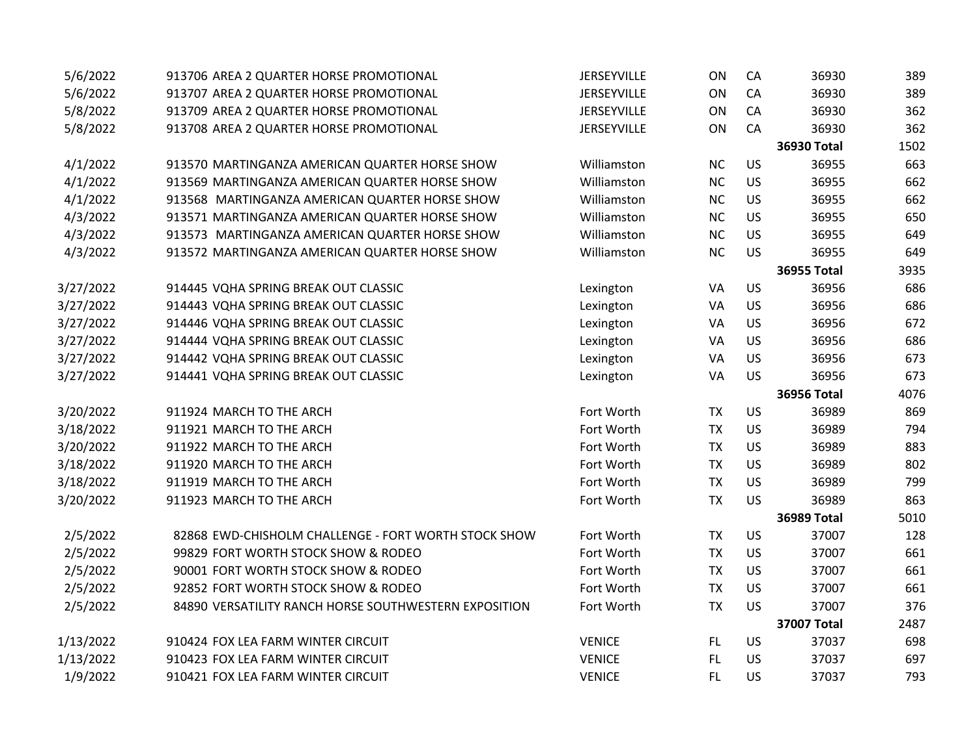| 5/6/2022  | 913706 AREA 2 QUARTER HORSE PROMOTIONAL               | JERSEYVILLE   | ON        | CA        | 36930              | 389  |
|-----------|-------------------------------------------------------|---------------|-----------|-----------|--------------------|------|
| 5/6/2022  | 913707 AREA 2 QUARTER HORSE PROMOTIONAL               | JERSEYVILLE   | ON        | CA        | 36930              | 389  |
| 5/8/2022  | 913709 AREA 2 QUARTER HORSE PROMOTIONAL               | JERSEYVILLE   | ON        | CA        | 36930              | 362  |
| 5/8/2022  | 913708 AREA 2 QUARTER HORSE PROMOTIONAL               | JERSEYVILLE   | ON        | CA        | 36930              | 362  |
|           |                                                       |               |           |           | <b>36930 Total</b> | 1502 |
| 4/1/2022  | 913570 MARTINGANZA AMERICAN QUARTER HORSE SHOW        | Williamston   | <b>NC</b> | US        | 36955              | 663  |
| 4/1/2022  | 913569 MARTINGANZA AMERICAN QUARTER HORSE SHOW        | Williamston   | NC        | US        | 36955              | 662  |
| 4/1/2022  | 913568 MARTINGANZA AMERICAN QUARTER HORSE SHOW        | Williamston   | NC        | US        | 36955              | 662  |
| 4/3/2022  | 913571 MARTINGANZA AMERICAN QUARTER HORSE SHOW        | Williamston   | NC        | US        | 36955              | 650  |
| 4/3/2022  | 913573 MARTINGANZA AMERICAN QUARTER HORSE SHOW        | Williamston   | NC        | US        | 36955              | 649  |
| 4/3/2022  | 913572 MARTINGANZA AMERICAN QUARTER HORSE SHOW        | Williamston   | <b>NC</b> | US        | 36955              | 649  |
|           |                                                       |               |           |           | <b>36955 Total</b> | 3935 |
| 3/27/2022 | 914445 VQHA SPRING BREAK OUT CLASSIC                  | Lexington     | VA        | US        | 36956              | 686  |
| 3/27/2022 | 914443 VQHA SPRING BREAK OUT CLASSIC                  | Lexington     | VA        | US        | 36956              | 686  |
| 3/27/2022 | 914446 VQHA SPRING BREAK OUT CLASSIC                  | Lexington     | VA        | US        | 36956              | 672  |
| 3/27/2022 | 914444 VQHA SPRING BREAK OUT CLASSIC                  | Lexington     | VA        | US        | 36956              | 686  |
| 3/27/2022 | 914442 VQHA SPRING BREAK OUT CLASSIC                  | Lexington     | VA        | <b>US</b> | 36956              | 673  |
| 3/27/2022 | 914441 VQHA SPRING BREAK OUT CLASSIC                  | Lexington     | VA        | US        | 36956              | 673  |
|           |                                                       |               |           |           | <b>36956 Total</b> | 4076 |
| 3/20/2022 | 911924 MARCH TO THE ARCH                              | Fort Worth    | <b>TX</b> | <b>US</b> | 36989              | 869  |
| 3/18/2022 | 911921 MARCH TO THE ARCH                              | Fort Worth    | <b>TX</b> | US        | 36989              | 794  |
| 3/20/2022 | 911922 MARCH TO THE ARCH                              | Fort Worth    | <b>TX</b> | US        | 36989              | 883  |
| 3/18/2022 | 911920 MARCH TO THE ARCH                              | Fort Worth    | <b>TX</b> | US        | 36989              | 802  |
| 3/18/2022 | 911919 MARCH TO THE ARCH                              | Fort Worth    | <b>TX</b> | US        | 36989              | 799  |
| 3/20/2022 | 911923 MARCH TO THE ARCH                              | Fort Worth    | <b>TX</b> | US        | 36989              | 863  |
|           |                                                       |               |           |           | <b>36989 Total</b> | 5010 |
| 2/5/2022  | 82868 EWD-CHISHOLM CHALLENGE - FORT WORTH STOCK SHOW  | Fort Worth    | <b>TX</b> | US        | 37007              | 128  |
| 2/5/2022  | 99829 FORT WORTH STOCK SHOW & RODEO                   | Fort Worth    | <b>TX</b> | US        | 37007              | 661  |
| 2/5/2022  | 90001 FORT WORTH STOCK SHOW & RODEO                   | Fort Worth    | <b>TX</b> | US        | 37007              | 661  |
| 2/5/2022  | 92852 FORT WORTH STOCK SHOW & RODEO                   | Fort Worth    | <b>TX</b> | US        | 37007              | 661  |
| 2/5/2022  | 84890 VERSATILITY RANCH HORSE SOUTHWESTERN EXPOSITION | Fort Worth    | <b>TX</b> | US        | 37007              | 376  |
|           |                                                       |               |           |           | <b>37007 Total</b> | 2487 |
| 1/13/2022 | 910424 FOX LEA FARM WINTER CIRCUIT                    | <b>VENICE</b> | FL.       | <b>US</b> | 37037              | 698  |
| 1/13/2022 | 910423 FOX LEA FARM WINTER CIRCUIT                    | <b>VENICE</b> | FL.       | <b>US</b> | 37037              | 697  |
| 1/9/2022  | 910421 FOX LEA FARM WINTER CIRCUIT                    | <b>VENICE</b> | <b>FL</b> | <b>US</b> | 37037              | 793  |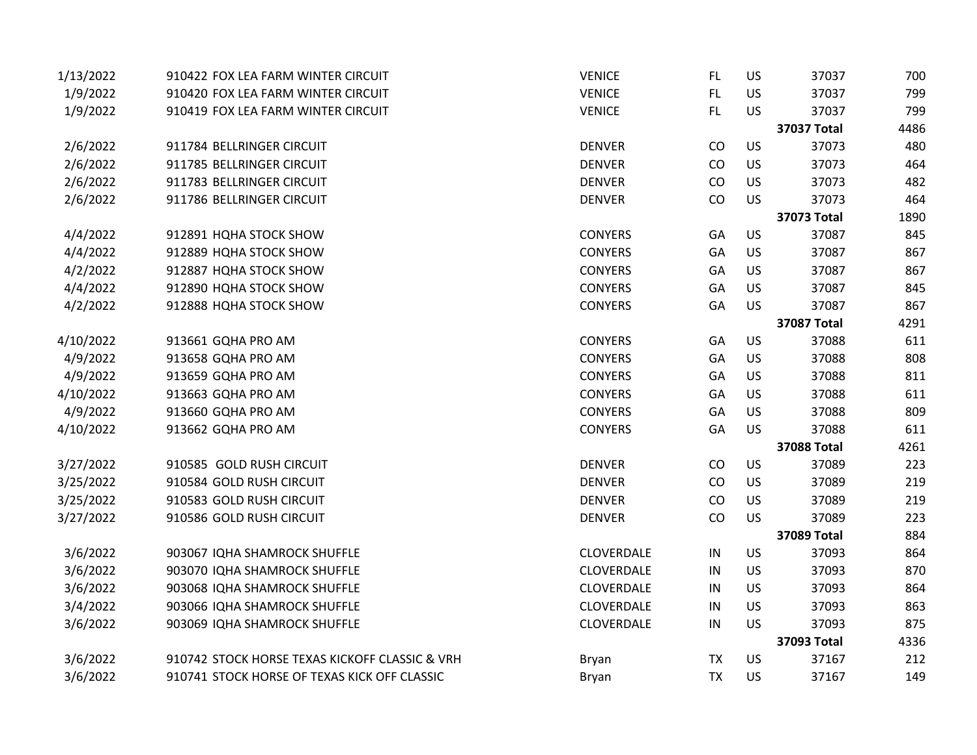| 1/13/2022 | 910422 FOX LEA FARM WINTER CIRCUIT             | <b>VENICE</b>  | FL.        | US        | 37037              | 700  |
|-----------|------------------------------------------------|----------------|------------|-----------|--------------------|------|
| 1/9/2022  | 910420 FOX LEA FARM WINTER CIRCUIT             | <b>VENICE</b>  | FL         | US        | 37037              | 799  |
| 1/9/2022  | 910419 FOX LEA FARM WINTER CIRCUIT             | <b>VENICE</b>  | FL.        | US        | 37037              | 799  |
|           |                                                |                |            |           | 37037 Total        | 4486 |
| 2/6/2022  | 911784 BELLRINGER CIRCUIT                      | <b>DENVER</b>  | CO         | US        | 37073              | 480  |
| 2/6/2022  | 911785 BELLRINGER CIRCUIT                      | <b>DENVER</b>  | CO         | US        | 37073              | 464  |
| 2/6/2022  | 911783 BELLRINGER CIRCUIT                      | <b>DENVER</b>  | CO         | US        | 37073              | 482  |
| 2/6/2022  | 911786 BELLRINGER CIRCUIT                      | <b>DENVER</b>  | CO         | US        | 37073              | 464  |
|           |                                                |                |            |           | 37073 Total        | 1890 |
| 4/4/2022  | 912891 HQHA STOCK SHOW                         | <b>CONYERS</b> | GA         | US        | 37087              | 845  |
| 4/4/2022  | 912889 HQHA STOCK SHOW                         | <b>CONYERS</b> | GA         | US        | 37087              | 867  |
| 4/2/2022  | 912887 HQHA STOCK SHOW                         | <b>CONYERS</b> | GA         | US        | 37087              | 867  |
| 4/4/2022  | 912890 HQHA STOCK SHOW                         | <b>CONYERS</b> | GA         | US        | 37087              | 845  |
| 4/2/2022  | 912888 HQHA STOCK SHOW                         | <b>CONYERS</b> | GA         | US        | 37087              | 867  |
|           |                                                |                |            |           | <b>37087 Total</b> | 4291 |
| 4/10/2022 | 913661 GQHA PRO AM                             | <b>CONYERS</b> | GA         | US        | 37088              | 611  |
| 4/9/2022  | 913658 GQHA PRO AM                             | <b>CONYERS</b> | GA         | US        | 37088              | 808  |
| 4/9/2022  | 913659 GQHA PRO AM                             | <b>CONYERS</b> | GA         | US        | 37088              | 811  |
| 4/10/2022 | 913663 GQHA PRO AM                             | <b>CONYERS</b> | GA         | US        | 37088              | 611  |
| 4/9/2022  | 913660 GQHA PRO AM                             | <b>CONYERS</b> | GA         | US        | 37088              | 809  |
| 4/10/2022 | 913662 GQHA PRO AM                             | <b>CONYERS</b> | GA         | US        | 37088              | 611  |
|           |                                                |                |            |           | <b>37088 Total</b> | 4261 |
| 3/27/2022 | 910585 GOLD RUSH CIRCUIT                       | <b>DENVER</b>  | CO         | US        | 37089              | 223  |
| 3/25/2022 | 910584 GOLD RUSH CIRCUIT                       | <b>DENVER</b>  | CO         | US        | 37089              | 219  |
| 3/25/2022 | 910583 GOLD RUSH CIRCUIT                       | <b>DENVER</b>  | CO         | US        | 37089              | 219  |
| 3/27/2022 | 910586 GOLD RUSH CIRCUIT                       | <b>DENVER</b>  | CO         | US        | 37089              | 223  |
|           |                                                |                |            |           | 37089 Total        | 884  |
| 3/6/2022  | 903067 IQHA SHAMROCK SHUFFLE                   | CLOVERDALE     | ${\sf IN}$ | US        | 37093              | 864  |
| 3/6/2022  | 903070 IQHA SHAMROCK SHUFFLE                   | CLOVERDALE     | $\sf IN$   | US        | 37093              | 870  |
| 3/6/2022  | 903068 IQHA SHAMROCK SHUFFLE                   | CLOVERDALE     | $\sf IN$   | US        | 37093              | 864  |
| 3/4/2022  | 903066 IQHA SHAMROCK SHUFFLE                   | CLOVERDALE     | $\sf IN$   | US        | 37093              | 863  |
| 3/6/2022  | 903069 IQHA SHAMROCK SHUFFLE                   | CLOVERDALE     | IN         | US        | 37093              | 875  |
|           |                                                |                |            |           | 37093 Total        | 4336 |
| 3/6/2022  | 910742 STOCK HORSE TEXAS KICKOFF CLASSIC & VRH | Bryan          | <b>TX</b>  | US        | 37167              | 212  |
| 3/6/2022  | 910741 STOCK HORSE OF TEXAS KICK OFF CLASSIC   | <b>Bryan</b>   | <b>TX</b>  | <b>US</b> | 37167              | 149  |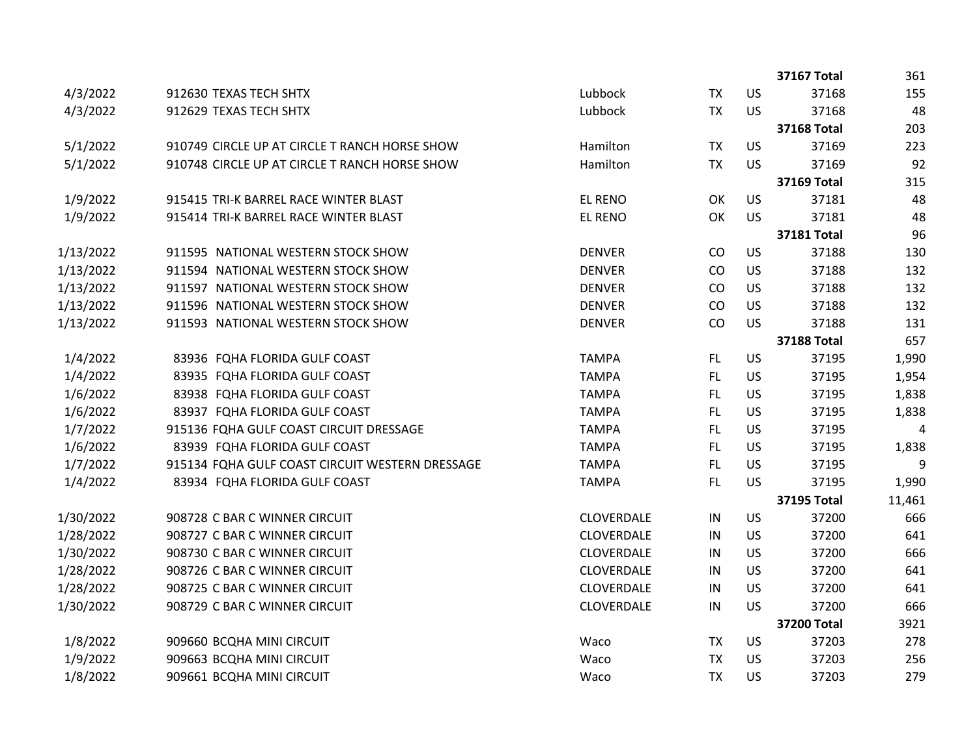|           |                                                 |                |           |           | 37167 Total        | 361    |
|-----------|-------------------------------------------------|----------------|-----------|-----------|--------------------|--------|
| 4/3/2022  | 912630 TEXAS TECH SHTX                          | Lubbock        | <b>TX</b> | US        | 37168              | 155    |
| 4/3/2022  | 912629 TEXAS TECH SHTX                          | Lubbock        | <b>TX</b> | US        | 37168              | 48     |
|           |                                                 |                |           |           | <b>37168 Total</b> | 203    |
| 5/1/2022  | 910749 CIRCLE UP AT CIRCLE T RANCH HORSE SHOW   | Hamilton       | <b>TX</b> | <b>US</b> | 37169              | 223    |
| 5/1/2022  | 910748 CIRCLE UP AT CIRCLE T RANCH HORSE SHOW   | Hamilton       | <b>TX</b> | <b>US</b> | 37169              | 92     |
|           |                                                 |                |           |           | <b>37169 Total</b> | 315    |
| 1/9/2022  | 915415 TRI-K BARREL RACE WINTER BLAST           | <b>EL RENO</b> | OK        | US        | 37181              | 48     |
| 1/9/2022  | 915414 TRI-K BARREL RACE WINTER BLAST           | <b>EL RENO</b> | OK        | US        | 37181              | 48     |
|           |                                                 |                |           |           | <b>37181 Total</b> | 96     |
| 1/13/2022 | 911595 NATIONAL WESTERN STOCK SHOW              | <b>DENVER</b>  | CO        | US        | 37188              | 130    |
| 1/13/2022 | 911594 NATIONAL WESTERN STOCK SHOW              | <b>DENVER</b>  | CO        | US        | 37188              | 132    |
| 1/13/2022 | 911597 NATIONAL WESTERN STOCK SHOW              | <b>DENVER</b>  | CO        | US        | 37188              | 132    |
| 1/13/2022 | 911596 NATIONAL WESTERN STOCK SHOW              | <b>DENVER</b>  | CO        | US        | 37188              | 132    |
| 1/13/2022 | 911593 NATIONAL WESTERN STOCK SHOW              | <b>DENVER</b>  | CO        | US        | 37188              | 131    |
|           |                                                 |                |           |           | <b>37188 Total</b> | 657    |
| 1/4/2022  | 83936 FQHA FLORIDA GULF COAST                   | <b>TAMPA</b>   | FL.       | US        | 37195              | 1,990  |
| 1/4/2022  | 83935 FQHA FLORIDA GULF COAST                   | <b>TAMPA</b>   | <b>FL</b> | US        | 37195              | 1,954  |
| 1/6/2022  | 83938 FQHA FLORIDA GULF COAST                   | <b>TAMPA</b>   | FL.       | US        | 37195              | 1,838  |
| 1/6/2022  | 83937 FQHA FLORIDA GULF COAST                   | <b>TAMPA</b>   | FL        | US        | 37195              | 1,838  |
| 1/7/2022  | 915136 FQHA GULF COAST CIRCUIT DRESSAGE         | <b>TAMPA</b>   | FL.       | US        | 37195              | 4      |
| 1/6/2022  | 83939 FQHA FLORIDA GULF COAST                   | <b>TAMPA</b>   | FL.       | US        | 37195              | 1,838  |
| 1/7/2022  | 915134 FQHA GULF COAST CIRCUIT WESTERN DRESSAGE | <b>TAMPA</b>   | FL        | US        | 37195              | 9      |
| 1/4/2022  | 83934 FQHA FLORIDA GULF COAST                   | <b>TAMPA</b>   | <b>FL</b> | US        | 37195              | 1,990  |
|           |                                                 |                |           |           | <b>37195 Total</b> | 11,461 |
| 1/30/2022 | 908728 C BAR C WINNER CIRCUIT                   | CLOVERDALE     | IN        | US        | 37200              | 666    |
| 1/28/2022 | 908727 C BAR C WINNER CIRCUIT                   | CLOVERDALE     | IN        | US        | 37200              | 641    |
| 1/30/2022 | 908730 C BAR C WINNER CIRCUIT                   | CLOVERDALE     | IN        | US        | 37200              | 666    |
| 1/28/2022 | 908726 C BAR C WINNER CIRCUIT                   | CLOVERDALE     | IN        | US        | 37200              | 641    |
| 1/28/2022 | 908725 C BAR C WINNER CIRCUIT                   | CLOVERDALE     | IN        | US        | 37200              | 641    |
| 1/30/2022 | 908729 C BAR C WINNER CIRCUIT                   | CLOVERDALE     | IN        | US        | 37200              | 666    |
|           |                                                 |                |           |           | <b>37200 Total</b> | 3921   |
| 1/8/2022  | 909660 BCQHA MINI CIRCUIT                       | Waco           | <b>TX</b> | US        | 37203              | 278    |
| 1/9/2022  | 909663 BCQHA MINI CIRCUIT                       | Waco           | <b>TX</b> | US        | 37203              | 256    |
| 1/8/2022  | 909661 BCQHA MINI CIRCUIT                       | Waco           | <b>TX</b> | US        | 37203              | 279    |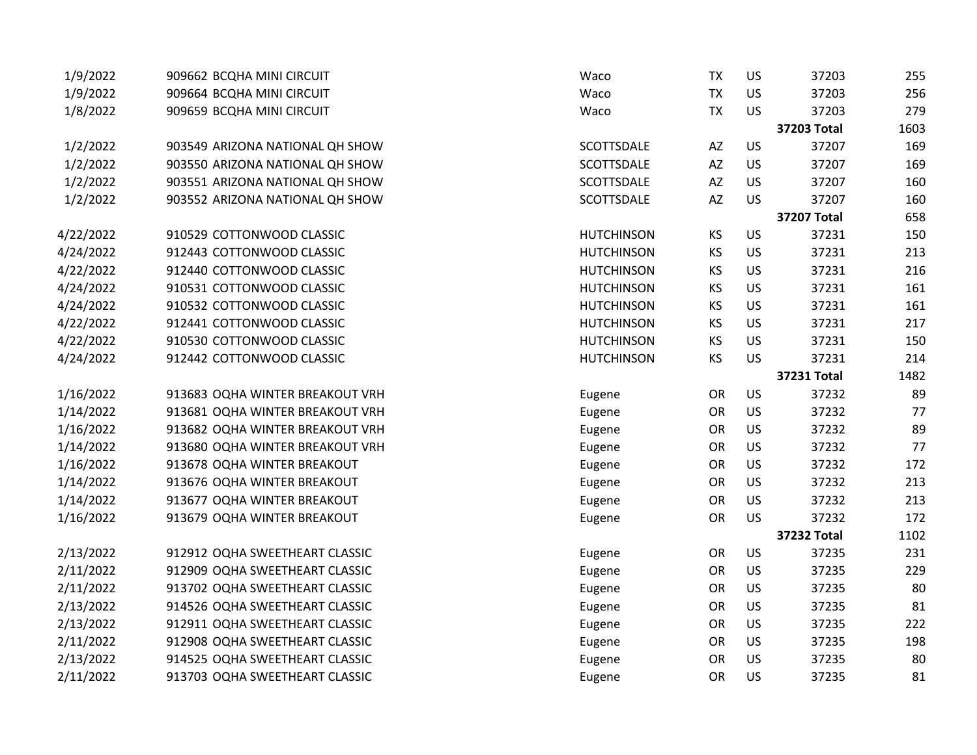| 1/9/2022  | 909662 BCQHA MINI CIRCUIT       | Waco              | <b>TX</b>              | US        | 37203              | 255  |
|-----------|---------------------------------|-------------------|------------------------|-----------|--------------------|------|
| 1/9/2022  | 909664 BCQHA MINI CIRCUIT       | Waco              | <b>TX</b>              | US        | 37203              | 256  |
| 1/8/2022  | 909659 BCQHA MINI CIRCUIT       | Waco              | <b>TX</b>              | US        | 37203              | 279  |
|           |                                 |                   |                        |           | 37203 Total        | 1603 |
| 1/2/2022  | 903549 ARIZONA NATIONAL QH SHOW | SCOTTSDALE        | AZ                     | <b>US</b> | 37207              | 169  |
| 1/2/2022  | 903550 ARIZONA NATIONAL QH SHOW | SCOTTSDALE        | $\mathsf{A}\mathsf{Z}$ | US        | 37207              | 169  |
| 1/2/2022  | 903551 ARIZONA NATIONAL QH SHOW | SCOTTSDALE        | AZ                     | <b>US</b> | 37207              | 160  |
| 1/2/2022  | 903552 ARIZONA NATIONAL QH SHOW | SCOTTSDALE        | AZ                     | US        | 37207              | 160  |
|           |                                 |                   |                        |           | <b>37207 Total</b> | 658  |
| 4/22/2022 | 910529 COTTONWOOD CLASSIC       | <b>HUTCHINSON</b> | KS                     | US        | 37231              | 150  |
| 4/24/2022 | 912443 COTTONWOOD CLASSIC       | <b>HUTCHINSON</b> | KS                     | <b>US</b> | 37231              | 213  |
| 4/22/2022 | 912440 COTTONWOOD CLASSIC       | <b>HUTCHINSON</b> | KS                     | US        | 37231              | 216  |
| 4/24/2022 | 910531 COTTONWOOD CLASSIC       | <b>HUTCHINSON</b> | KS                     | US        | 37231              | 161  |
| 4/24/2022 | 910532 COTTONWOOD CLASSIC       | <b>HUTCHINSON</b> | KS                     | US        | 37231              | 161  |
| 4/22/2022 | 912441 COTTONWOOD CLASSIC       | <b>HUTCHINSON</b> | KS                     | US        | 37231              | 217  |
| 4/22/2022 | 910530 COTTONWOOD CLASSIC       | <b>HUTCHINSON</b> | KS                     | US        | 37231              | 150  |
| 4/24/2022 | 912442 COTTONWOOD CLASSIC       | <b>HUTCHINSON</b> | KS                     | US        | 37231              | 214  |
|           |                                 |                   |                        |           | <b>37231 Total</b> | 1482 |
| 1/16/2022 | 913683 OQHA WINTER BREAKOUT VRH | Eugene            | OR                     | <b>US</b> | 37232              | 89   |
| 1/14/2022 | 913681 OQHA WINTER BREAKOUT VRH | Eugene            | <b>OR</b>              | <b>US</b> | 37232              | 77   |
| 1/16/2022 | 913682 OQHA WINTER BREAKOUT VRH | Eugene            | OR                     | US        | 37232              | 89   |
| 1/14/2022 | 913680 OQHA WINTER BREAKOUT VRH | Eugene            | OR                     | US        | 37232              | 77   |
| 1/16/2022 | 913678 OQHA WINTER BREAKOUT     | Eugene            | OR                     | US        | 37232              | 172  |
| 1/14/2022 | 913676 OQHA WINTER BREAKOUT     | Eugene            | OR                     | US        | 37232              | 213  |
| 1/14/2022 | 913677 OQHA WINTER BREAKOUT     | Eugene            | OR                     | US        | 37232              | 213  |
| 1/16/2022 | 913679 OQHA WINTER BREAKOUT     | Eugene            | OR                     | US        | 37232              | 172  |
|           |                                 |                   |                        |           | 37232 Total        | 1102 |
| 2/13/2022 | 912912 OQHA SWEETHEART CLASSIC  | Eugene            | OR                     | US        | 37235              | 231  |
| 2/11/2022 | 912909 OQHA SWEETHEART CLASSIC  | Eugene            | OR                     | US        | 37235              | 229  |
| 2/11/2022 | 913702 OQHA SWEETHEART CLASSIC  | Eugene            | <b>OR</b>              | US        | 37235              | 80   |
| 2/13/2022 | 914526 OQHA SWEETHEART CLASSIC  | Eugene            | OR                     | US        | 37235              | 81   |
| 2/13/2022 | 912911 OQHA SWEETHEART CLASSIC  | Eugene            | OR                     | <b>US</b> | 37235              | 222  |
| 2/11/2022 | 912908 OQHA SWEETHEART CLASSIC  | Eugene            | OR                     | US        | 37235              | 198  |
| 2/13/2022 | 914525 OQHA SWEETHEART CLASSIC  | Eugene            | OR                     | US        | 37235              | 80   |
| 2/11/2022 | 913703 OQHA SWEETHEART CLASSIC  | Eugene            | OR                     | US        | 37235              | 81   |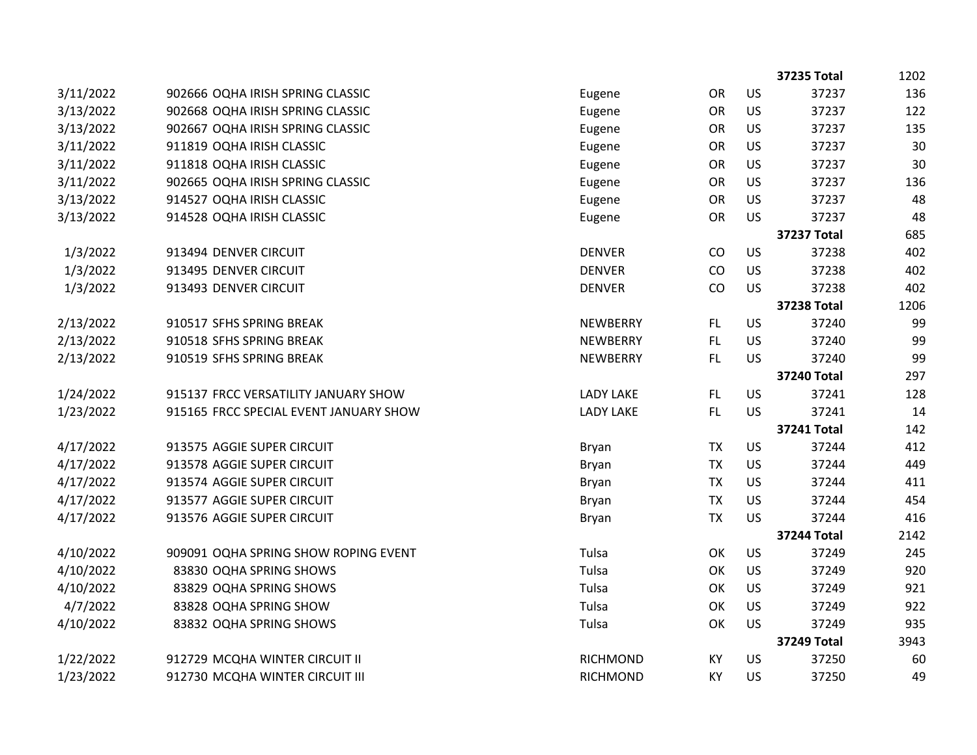|           |                                        |                  |           |           | 37235 Total        | 1202 |
|-----------|----------------------------------------|------------------|-----------|-----------|--------------------|------|
| 3/11/2022 | 902666 OQHA IRISH SPRING CLASSIC       | Eugene           | <b>OR</b> | US        | 37237              | 136  |
| 3/13/2022 | 902668 OQHA IRISH SPRING CLASSIC       | Eugene           | <b>OR</b> | US        | 37237              | 122  |
| 3/13/2022 | 902667 OQHA IRISH SPRING CLASSIC       | Eugene           | <b>OR</b> | US        | 37237              | 135  |
| 3/11/2022 | 911819 OQHA IRISH CLASSIC              | Eugene           | <b>OR</b> | US        | 37237              | 30   |
| 3/11/2022 | 911818 OQHA IRISH CLASSIC              | Eugene           | <b>OR</b> | US        | 37237              | 30   |
| 3/11/2022 | 902665 OQHA IRISH SPRING CLASSIC       | Eugene           | OR        | US        | 37237              | 136  |
| 3/13/2022 | 914527 OQHA IRISH CLASSIC              | Eugene           | OR        | US        | 37237              | 48   |
| 3/13/2022 | 914528 OQHA IRISH CLASSIC              | Eugene           | <b>OR</b> | US        | 37237              | 48   |
|           |                                        |                  |           |           | <b>37237 Total</b> | 685  |
| 1/3/2022  | 913494 DENVER CIRCUIT                  | <b>DENVER</b>    | CO        | US        | 37238              | 402  |
| 1/3/2022  | 913495 DENVER CIRCUIT                  | <b>DENVER</b>    | CO        | US        | 37238              | 402  |
| 1/3/2022  | 913493 DENVER CIRCUIT                  | <b>DENVER</b>    | CO        | US        | 37238              | 402  |
|           |                                        |                  |           |           | <b>37238 Total</b> | 1206 |
| 2/13/2022 | 910517 SFHS SPRING BREAK               | NEWBERRY         | FL.       | US        | 37240              | 99   |
| 2/13/2022 | 910518 SFHS SPRING BREAK               | <b>NEWBERRY</b>  | FL.       | US        | 37240              | 99   |
| 2/13/2022 | 910519 SFHS SPRING BREAK               | <b>NEWBERRY</b>  | FL.       | US        | 37240              | 99   |
|           |                                        |                  |           |           | <b>37240 Total</b> | 297  |
| 1/24/2022 | 915137 FRCC VERSATILITY JANUARY SHOW   | <b>LADY LAKE</b> | FL.       | <b>US</b> | 37241              | 128  |
| 1/23/2022 | 915165 FRCC SPECIAL EVENT JANUARY SHOW | <b>LADY LAKE</b> | FL        | <b>US</b> | 37241              | 14   |
|           |                                        |                  |           |           | <b>37241 Total</b> | 142  |
| 4/17/2022 | 913575 AGGIE SUPER CIRCUIT             | <b>Bryan</b>     | <b>TX</b> | US        | 37244              | 412  |
| 4/17/2022 | 913578 AGGIE SUPER CIRCUIT             | Bryan            | <b>TX</b> | US        | 37244              | 449  |
| 4/17/2022 | 913574 AGGIE SUPER CIRCUIT             | Bryan            | <b>TX</b> | US        | 37244              | 411  |
| 4/17/2022 | 913577 AGGIE SUPER CIRCUIT             | Bryan            | <b>TX</b> | US        | 37244              | 454  |
| 4/17/2022 | 913576 AGGIE SUPER CIRCUIT             | Bryan            | <b>TX</b> | US        | 37244              | 416  |
|           |                                        |                  |           |           | <b>37244 Total</b> | 2142 |
| 4/10/2022 | 909091 OQHA SPRING SHOW ROPING EVENT   | Tulsa            | OK        | US        | 37249              | 245  |
| 4/10/2022 | 83830 OQHA SPRING SHOWS                | Tulsa            | OK        | US        | 37249              | 920  |
| 4/10/2022 | 83829 OQHA SPRING SHOWS                | Tulsa            | OK        | US        | 37249              | 921  |
| 4/7/2022  | 83828 OQHA SPRING SHOW                 | Tulsa            | OK        | US        | 37249              | 922  |
| 4/10/2022 | 83832 OQHA SPRING SHOWS                | Tulsa            | OK        | US        | 37249              | 935  |
|           |                                        |                  |           |           | <b>37249 Total</b> | 3943 |
| 1/22/2022 | 912729 MCQHA WINTER CIRCUIT II         | <b>RICHMOND</b>  | KY        | <b>US</b> | 37250              | 60   |
| 1/23/2022 | 912730 MCQHA WINTER CIRCUIT III        | <b>RICHMOND</b>  | KY        | <b>US</b> | 37250              | 49   |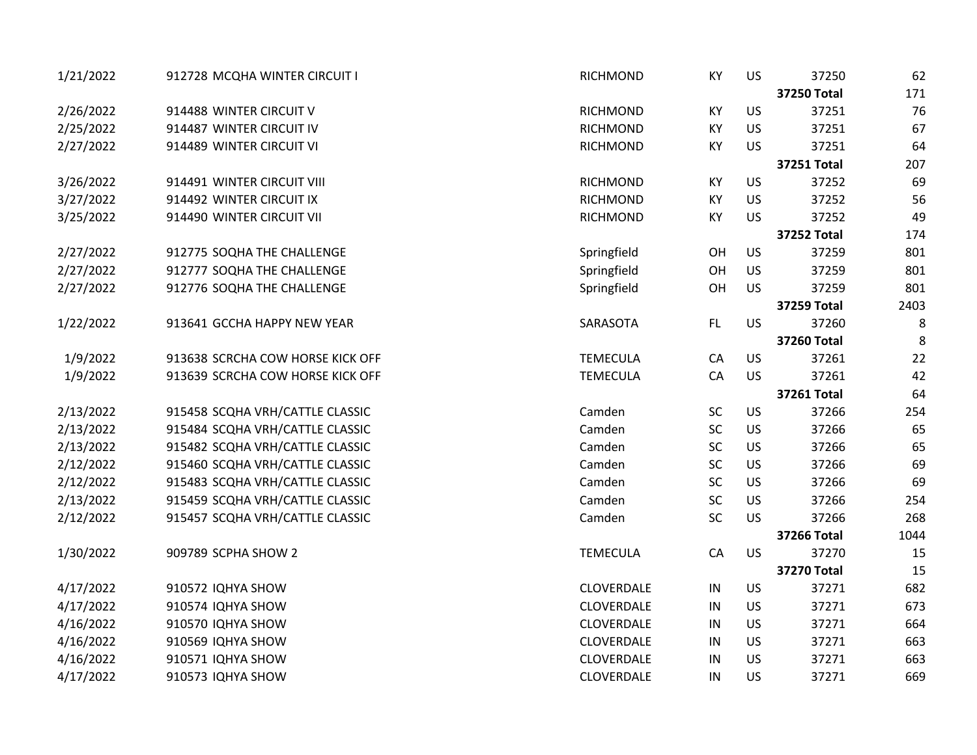| 1/21/2022 | 912728 MCQHA WINTER CIRCUIT I    | <b>RICHMOND</b> | KY         | US        | 37250              | 62   |
|-----------|----------------------------------|-----------------|------------|-----------|--------------------|------|
|           |                                  |                 |            |           | <b>37250 Total</b> | 171  |
| 2/26/2022 | 914488 WINTER CIRCUIT V          | <b>RICHMOND</b> | KY         | <b>US</b> | 37251              | 76   |
| 2/25/2022 | 914487 WINTER CIRCUIT IV         | <b>RICHMOND</b> | KY         | <b>US</b> | 37251              | 67   |
| 2/27/2022 | 914489 WINTER CIRCUIT VI         | <b>RICHMOND</b> | KY         | <b>US</b> | 37251              | 64   |
|           |                                  |                 |            |           | <b>37251 Total</b> | 207  |
| 3/26/2022 | 914491 WINTER CIRCUIT VIII       | <b>RICHMOND</b> | KY         | US        | 37252              | 69   |
| 3/27/2022 | 914492 WINTER CIRCUIT IX         | RICHMOND        | KY         | US        | 37252              | 56   |
| 3/25/2022 | 914490 WINTER CIRCUIT VII        | <b>RICHMOND</b> | KY         | US        | 37252              | 49   |
|           |                                  |                 |            |           | 37252 Total        | 174  |
| 2/27/2022 | 912775 SOQHA THE CHALLENGE       | Springfield     | OH         | US        | 37259              | 801  |
| 2/27/2022 | 912777 SOQHA THE CHALLENGE       | Springfield     | OH         | US        | 37259              | 801  |
| 2/27/2022 | 912776 SOQHA THE CHALLENGE       | Springfield     | OH         | <b>US</b> | 37259              | 801  |
|           |                                  |                 |            |           | <b>37259 Total</b> | 2403 |
| 1/22/2022 | 913641 GCCHA HAPPY NEW YEAR      | SARASOTA        | FL.        | <b>US</b> | 37260              | 8    |
|           |                                  |                 |            |           | 37260 Total        | 8    |
| 1/9/2022  | 913638 SCRCHA COW HORSE KICK OFF | <b>TEMECULA</b> | CA         | US        | 37261              | 22   |
| 1/9/2022  | 913639 SCRCHA COW HORSE KICK OFF | <b>TEMECULA</b> | CA         | US        | 37261              | 42   |
|           |                                  |                 |            |           | <b>37261 Total</b> | 64   |
| 2/13/2022 | 915458 SCQHA VRH/CATTLE CLASSIC  | Camden          | <b>SC</b>  | US        | 37266              | 254  |
| 2/13/2022 | 915484 SCQHA VRH/CATTLE CLASSIC  | Camden          | <b>SC</b>  | US        | 37266              | 65   |
| 2/13/2022 | 915482 SCQHA VRH/CATTLE CLASSIC  | Camden          | <b>SC</b>  | US        | 37266              | 65   |
| 2/12/2022 | 915460 SCQHA VRH/CATTLE CLASSIC  | Camden          | <b>SC</b>  | US        | 37266              | 69   |
| 2/12/2022 | 915483 SCQHA VRH/CATTLE CLASSIC  | Camden          | <b>SC</b>  | US        | 37266              | 69   |
| 2/13/2022 | 915459 SCQHA VRH/CATTLE CLASSIC  | Camden          | SC         | US        | 37266              | 254  |
| 2/12/2022 | 915457 SCQHA VRH/CATTLE CLASSIC  | Camden          | SC         | <b>US</b> | 37266              | 268  |
|           |                                  |                 |            |           | <b>37266 Total</b> | 1044 |
| 1/30/2022 | 909789 SCPHA SHOW 2              | <b>TEMECULA</b> | CA         | US        | 37270              | 15   |
|           |                                  |                 |            |           | <b>37270 Total</b> | 15   |
| 4/17/2022 | 910572 IQHYA SHOW                | CLOVERDALE      | $\sf IN$   | US        | 37271              | 682  |
| 4/17/2022 | 910574 IQHYA SHOW                | CLOVERDALE      | $\sf IN$   | US        | 37271              | 673  |
| 4/16/2022 | 910570 IQHYA SHOW                | CLOVERDALE      | ${\sf IN}$ | US        | 37271              | 664  |
| 4/16/2022 | 910569 IQHYA SHOW                | CLOVERDALE      | IN         | US        | 37271              | 663  |
| 4/16/2022 | 910571 IQHYA SHOW                | CLOVERDALE      | IN         | US        | 37271              | 663  |
| 4/17/2022 | 910573 IQHYA SHOW                | CLOVERDALE      | IN         | US        | 37271              | 669  |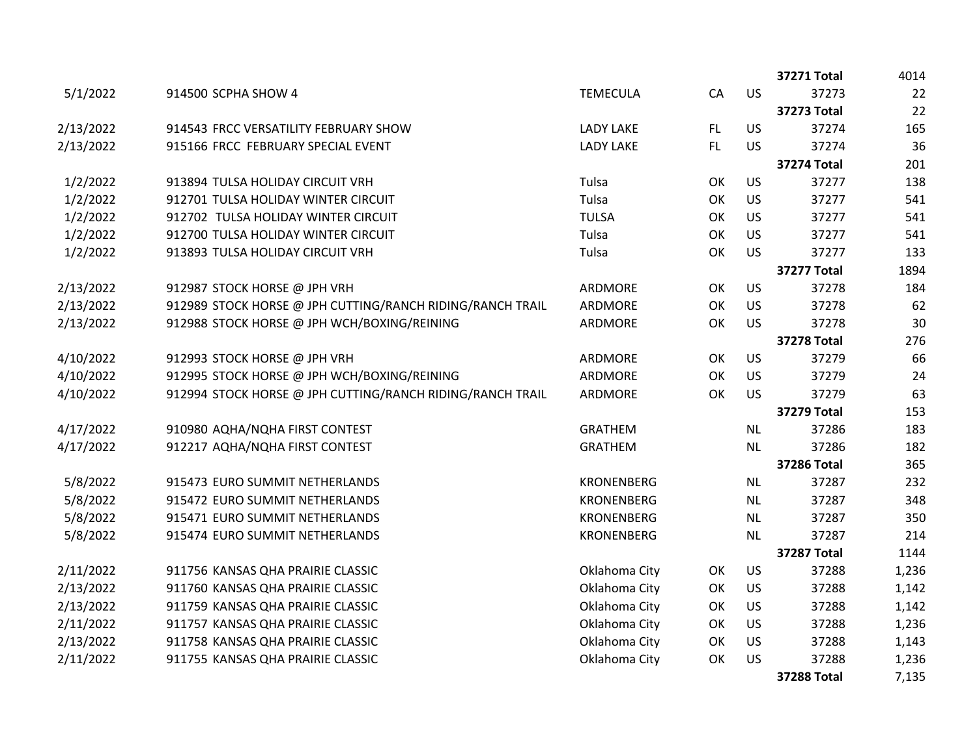|           |                                                           |                   |           |           | 37271 Total        | 4014  |
|-----------|-----------------------------------------------------------|-------------------|-----------|-----------|--------------------|-------|
| 5/1/2022  | 914500 SCPHA SHOW 4                                       | <b>TEMECULA</b>   | CA        | <b>US</b> | 37273              | 22    |
|           |                                                           |                   |           |           | <b>37273 Total</b> | 22    |
| 2/13/2022 | 914543 FRCC VERSATILITY FEBRUARY SHOW                     | <b>LADY LAKE</b>  | FL.       | <b>US</b> | 37274              | 165   |
| 2/13/2022 | 915166 FRCC FEBRUARY SPECIAL EVENT                        | <b>LADY LAKE</b>  | <b>FL</b> | <b>US</b> | 37274              | 36    |
|           |                                                           |                   |           |           | <b>37274 Total</b> | 201   |
| 1/2/2022  | 913894 TULSA HOLIDAY CIRCUIT VRH                          | Tulsa             | OK        | US        | 37277              | 138   |
| 1/2/2022  | 912701 TULSA HOLIDAY WINTER CIRCUIT                       | Tulsa             | OK        | <b>US</b> | 37277              | 541   |
| 1/2/2022  | 912702 TULSA HOLIDAY WINTER CIRCUIT                       | <b>TULSA</b>      | OK        | US        | 37277              | 541   |
| 1/2/2022  | 912700 TULSA HOLIDAY WINTER CIRCUIT                       | Tulsa             | OK        | US        | 37277              | 541   |
| 1/2/2022  | 913893 TULSA HOLIDAY CIRCUIT VRH                          | Tulsa             | OK        | US        | 37277              | 133   |
|           |                                                           |                   |           |           | <b>37277 Total</b> | 1894  |
| 2/13/2022 | 912987 STOCK HORSE @ JPH VRH                              | ARDMORE           | OK        | <b>US</b> | 37278              | 184   |
| 2/13/2022 | 912989 STOCK HORSE @ JPH CUTTING/RANCH RIDING/RANCH TRAIL | ARDMORE           | OK        | <b>US</b> | 37278              | 62    |
| 2/13/2022 | 912988 STOCK HORSE @ JPH WCH/BOXING/REINING               | ARDMORE           | OK        | <b>US</b> | 37278              | 30    |
|           |                                                           |                   |           |           | <b>37278 Total</b> | 276   |
| 4/10/2022 | 912993 STOCK HORSE @ JPH VRH                              | ARDMORE           | OK        | <b>US</b> | 37279              | 66    |
| 4/10/2022 | 912995 STOCK HORSE @ JPH WCH/BOXING/REINING               | ARDMORE           | OK        | <b>US</b> | 37279              | 24    |
| 4/10/2022 | 912994 STOCK HORSE @ JPH CUTTING/RANCH RIDING/RANCH TRAIL | ARDMORE           | OK        | <b>US</b> | 37279              | 63    |
|           |                                                           |                   |           |           | <b>37279 Total</b> | 153   |
| 4/17/2022 | 910980 AQHA/NQHA FIRST CONTEST                            | <b>GRATHEM</b>    |           | <b>NL</b> | 37286              | 183   |
| 4/17/2022 | 912217 AQHA/NQHA FIRST CONTEST                            | <b>GRATHEM</b>    |           | <b>NL</b> | 37286              | 182   |
|           |                                                           |                   |           |           | <b>37286 Total</b> | 365   |
| 5/8/2022  | 915473 EURO SUMMIT NETHERLANDS                            | <b>KRONENBERG</b> |           | NL        | 37287              | 232   |
| 5/8/2022  | 915472 EURO SUMMIT NETHERLANDS                            | <b>KRONENBERG</b> |           | <b>NL</b> | 37287              | 348   |
| 5/8/2022  | 915471 EURO SUMMIT NETHERLANDS                            | <b>KRONENBERG</b> |           | <b>NL</b> | 37287              | 350   |
| 5/8/2022  | 915474 EURO SUMMIT NETHERLANDS                            | <b>KRONENBERG</b> |           | <b>NL</b> | 37287              | 214   |
|           |                                                           |                   |           |           | <b>37287 Total</b> | 1144  |
| 2/11/2022 | 911756 KANSAS QHA PRAIRIE CLASSIC                         | Oklahoma City     | OK        | US        | 37288              | 1,236 |
| 2/13/2022 | 911760 KANSAS QHA PRAIRIE CLASSIC                         | Oklahoma City     | OK        | US        | 37288              | 1,142 |
| 2/13/2022 | 911759 KANSAS QHA PRAIRIE CLASSIC                         | Oklahoma City     | OK        | US        | 37288              | 1,142 |
| 2/11/2022 | 911757 KANSAS QHA PRAIRIE CLASSIC                         | Oklahoma City     | OK        | <b>US</b> | 37288              | 1,236 |
| 2/13/2022 | 911758 KANSAS QHA PRAIRIE CLASSIC                         | Oklahoma City     | OK        | US        | 37288              | 1,143 |
| 2/11/2022 | 911755 KANSAS QHA PRAIRIE CLASSIC                         | Oklahoma City     | OK        | US        | 37288              | 1,236 |
|           |                                                           |                   |           |           | <b>37288 Total</b> | 7,135 |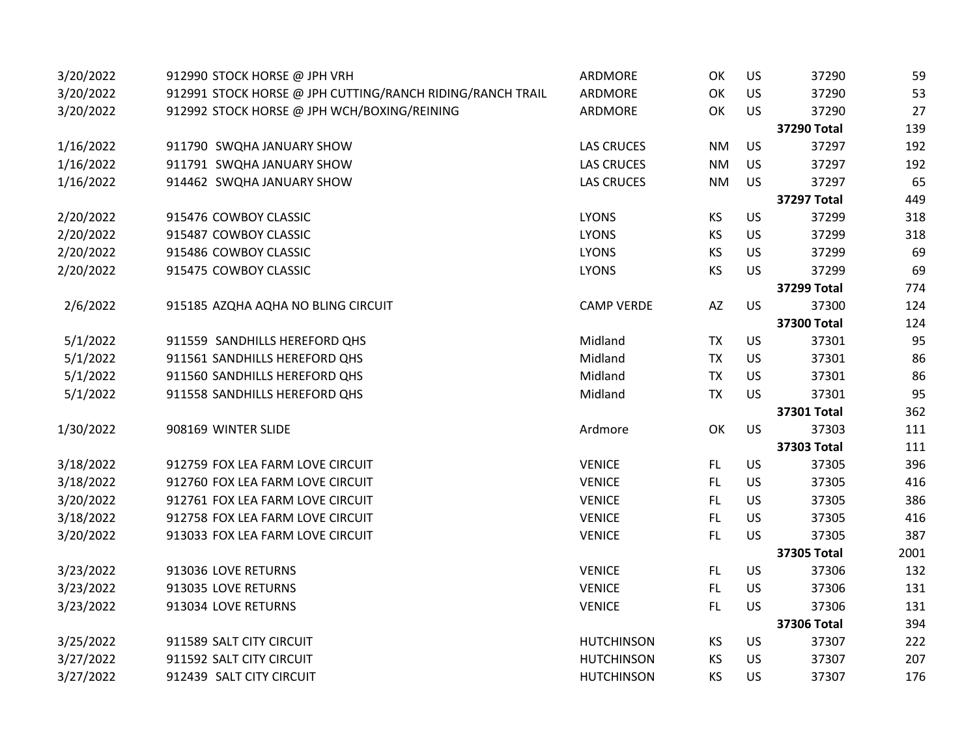| 3/20/2022 | 912990 STOCK HORSE @ JPH VRH                              | ARDMORE           | OK        | US        | 37290              | 59   |
|-----------|-----------------------------------------------------------|-------------------|-----------|-----------|--------------------|------|
| 3/20/2022 | 912991 STOCK HORSE @ JPH CUTTING/RANCH RIDING/RANCH TRAIL | ARDMORE           | OK        | <b>US</b> | 37290              | 53   |
| 3/20/2022 | 912992 STOCK HORSE @ JPH WCH/BOXING/REINING               | ARDMORE           | OK        | <b>US</b> | 37290              | 27   |
|           |                                                           |                   |           |           | <b>37290 Total</b> | 139  |
| 1/16/2022 | 911790 SWQHA JANUARY SHOW                                 | <b>LAS CRUCES</b> | <b>NM</b> | <b>US</b> | 37297              | 192  |
| 1/16/2022 | 911791 SWQHA JANUARY SHOW                                 | <b>LAS CRUCES</b> | <b>NM</b> | <b>US</b> | 37297              | 192  |
| 1/16/2022 | 914462 SWQHA JANUARY SHOW                                 | <b>LAS CRUCES</b> | <b>NM</b> | US        | 37297              | 65   |
|           |                                                           |                   |           |           | <b>37297 Total</b> | 449  |
| 2/20/2022 | 915476 COWBOY CLASSIC                                     | <b>LYONS</b>      | <b>KS</b> | US        | 37299              | 318  |
| 2/20/2022 | 915487 COWBOY CLASSIC                                     | <b>LYONS</b>      | KS        | <b>US</b> | 37299              | 318  |
| 2/20/2022 | 915486 COWBOY CLASSIC                                     | <b>LYONS</b>      | KS        | <b>US</b> | 37299              | 69   |
| 2/20/2022 | 915475 COWBOY CLASSIC                                     | <b>LYONS</b>      | KS        | <b>US</b> | 37299              | 69   |
|           |                                                           |                   |           |           | <b>37299 Total</b> | 774  |
| 2/6/2022  | 915185 AZQHA AQHA NO BLING CIRCUIT                        | <b>CAMP VERDE</b> | AZ        | <b>US</b> | 37300              | 124  |
|           |                                                           |                   |           |           | <b>37300 Total</b> | 124  |
| 5/1/2022  | 911559 SANDHILLS HEREFORD QHS                             | Midland           | <b>TX</b> | <b>US</b> | 37301              | 95   |
| 5/1/2022  | 911561 SANDHILLS HEREFORD QHS                             | Midland           | <b>TX</b> | US        | 37301              | 86   |
| 5/1/2022  | 911560 SANDHILLS HEREFORD QHS                             | Midland           | <b>TX</b> | <b>US</b> | 37301              | 86   |
| 5/1/2022  | 911558 SANDHILLS HEREFORD QHS                             | Midland           | <b>TX</b> | <b>US</b> | 37301              | 95   |
|           |                                                           |                   |           |           | 37301 Total        | 362  |
| 1/30/2022 | 908169 WINTER SLIDE                                       | Ardmore           | OK        | <b>US</b> | 37303              | 111  |
|           |                                                           |                   |           |           | 37303 Total        | 111  |
| 3/18/2022 | 912759 FOX LEA FARM LOVE CIRCUIT                          | <b>VENICE</b>     | FL.       | US        | 37305              | 396  |
| 3/18/2022 | 912760 FOX LEA FARM LOVE CIRCUIT                          | <b>VENICE</b>     | FL.       | <b>US</b> | 37305              | 416  |
| 3/20/2022 | 912761 FOX LEA FARM LOVE CIRCUIT                          | <b>VENICE</b>     | FL        | <b>US</b> | 37305              | 386  |
| 3/18/2022 | 912758 FOX LEA FARM LOVE CIRCUIT                          | <b>VENICE</b>     | FL        | US        | 37305              | 416  |
| 3/20/2022 | 913033 FOX LEA FARM LOVE CIRCUIT                          | <b>VENICE</b>     | FL.       | <b>US</b> | 37305              | 387  |
|           |                                                           |                   |           |           | <b>37305 Total</b> | 2001 |
| 3/23/2022 | 913036 LOVE RETURNS                                       | <b>VENICE</b>     | FL.       | US        | 37306              | 132  |
| 3/23/2022 | 913035 LOVE RETURNS                                       | <b>VENICE</b>     | FL.       | US        | 37306              | 131  |
| 3/23/2022 | 913034 LOVE RETURNS                                       | <b>VENICE</b>     | FL.       | <b>US</b> | 37306              | 131  |
|           |                                                           |                   |           |           | <b>37306 Total</b> | 394  |
| 3/25/2022 | 911589 SALT CITY CIRCUIT                                  | <b>HUTCHINSON</b> | <b>KS</b> | <b>US</b> | 37307              | 222  |
| 3/27/2022 | 911592 SALT CITY CIRCUIT                                  | <b>HUTCHINSON</b> | <b>KS</b> | <b>US</b> | 37307              | 207  |
| 3/27/2022 | 912439 SALT CITY CIRCUIT                                  | <b>HUTCHINSON</b> | <b>KS</b> | <b>US</b> | 37307              | 176  |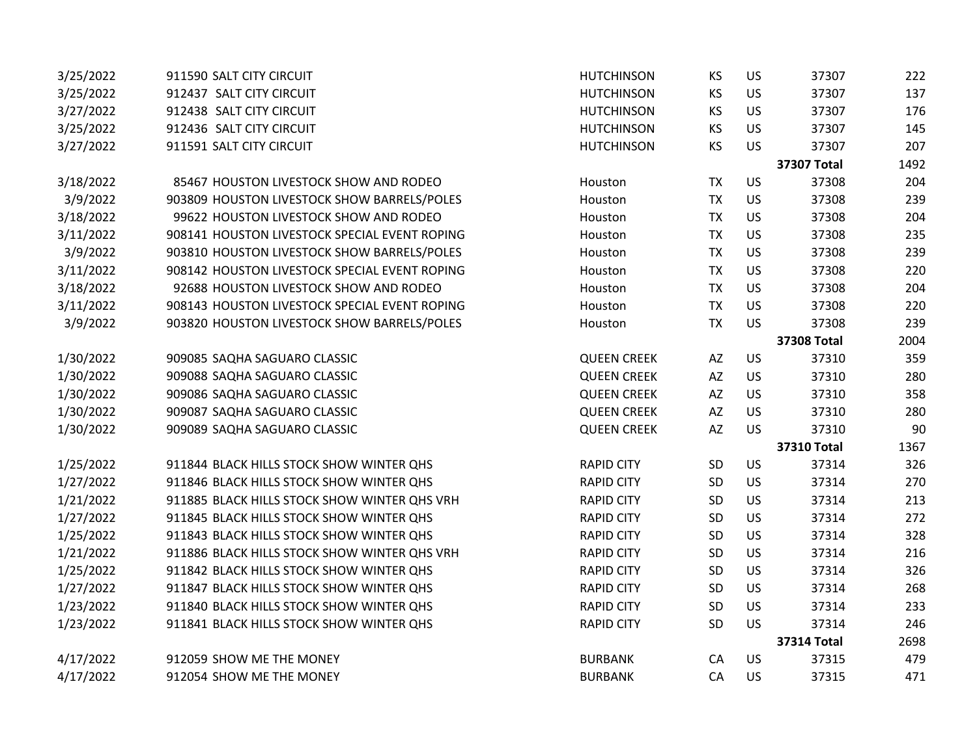| 3/25/2022 | 911590 SALT CITY CIRCUIT                      | <b>HUTCHINSON</b>  | KS                     | US        | 37307              | 222  |
|-----------|-----------------------------------------------|--------------------|------------------------|-----------|--------------------|------|
| 3/25/2022 | 912437 SALT CITY CIRCUIT                      | <b>HUTCHINSON</b>  | <b>KS</b>              | US        | 37307              | 137  |
| 3/27/2022 | 912438 SALT CITY CIRCUIT                      | <b>HUTCHINSON</b>  | KS                     | US        | 37307              | 176  |
| 3/25/2022 | 912436 SALT CITY CIRCUIT                      | <b>HUTCHINSON</b>  | <b>KS</b>              | US        | 37307              | 145  |
| 3/27/2022 | 911591 SALT CITY CIRCUIT                      | <b>HUTCHINSON</b>  | <b>KS</b>              | US        | 37307              | 207  |
|           |                                               |                    |                        |           | <b>37307 Total</b> | 1492 |
| 3/18/2022 | 85467 HOUSTON LIVESTOCK SHOW AND RODEO        | Houston            | <b>TX</b>              | US        | 37308              | 204  |
| 3/9/2022  | 903809 HOUSTON LIVESTOCK SHOW BARRELS/POLES   | Houston            | <b>TX</b>              | US        | 37308              | 239  |
| 3/18/2022 | 99622 HOUSTON LIVESTOCK SHOW AND RODEO        | Houston            | <b>TX</b>              | US        | 37308              | 204  |
| 3/11/2022 | 908141 HOUSTON LIVESTOCK SPECIAL EVENT ROPING | Houston            | <b>TX</b>              | US        | 37308              | 235  |
| 3/9/2022  | 903810 HOUSTON LIVESTOCK SHOW BARRELS/POLES   | Houston            | <b>TX</b>              | US        | 37308              | 239  |
| 3/11/2022 | 908142 HOUSTON LIVESTOCK SPECIAL EVENT ROPING | Houston            | <b>TX</b>              | US        | 37308              | 220  |
| 3/18/2022 | 92688 HOUSTON LIVESTOCK SHOW AND RODEO        | Houston            | <b>TX</b>              | US        | 37308              | 204  |
| 3/11/2022 | 908143 HOUSTON LIVESTOCK SPECIAL EVENT ROPING | Houston            | <b>TX</b>              | US        | 37308              | 220  |
| 3/9/2022  | 903820 HOUSTON LIVESTOCK SHOW BARRELS/POLES   | Houston            | <b>TX</b>              | US        | 37308              | 239  |
|           |                                               |                    |                        |           | <b>37308 Total</b> | 2004 |
| 1/30/2022 | 909085 SAQHA SAGUARO CLASSIC                  | <b>QUEEN CREEK</b> | AZ                     | US        | 37310              | 359  |
| 1/30/2022 | 909088 SAQHA SAGUARO CLASSIC                  | <b>QUEEN CREEK</b> | AZ                     | US        | 37310              | 280  |
| 1/30/2022 | 909086 SAQHA SAGUARO CLASSIC                  | <b>QUEEN CREEK</b> | $\mathsf{A}\mathsf{Z}$ | US        | 37310              | 358  |
| 1/30/2022 | 909087 SAQHA SAGUARO CLASSIC                  | <b>QUEEN CREEK</b> | AZ                     | US        | 37310              | 280  |
| 1/30/2022 | 909089 SAQHA SAGUARO CLASSIC                  | <b>QUEEN CREEK</b> | AZ                     | US        | 37310              | 90   |
|           |                                               |                    |                        |           | <b>37310 Total</b> | 1367 |
| 1/25/2022 | 911844 BLACK HILLS STOCK SHOW WINTER QHS      | <b>RAPID CITY</b>  | SD                     | US        | 37314              | 326  |
| 1/27/2022 | 911846 BLACK HILLS STOCK SHOW WINTER QHS      | <b>RAPID CITY</b>  | SD                     | US        | 37314              | 270  |
| 1/21/2022 | 911885 BLACK HILLS STOCK SHOW WINTER QHS VRH  | <b>RAPID CITY</b>  | SD                     | US        | 37314              | 213  |
| 1/27/2022 | 911845 BLACK HILLS STOCK SHOW WINTER QHS      | <b>RAPID CITY</b>  | SD                     | US        | 37314              | 272  |
| 1/25/2022 | 911843 BLACK HILLS STOCK SHOW WINTER QHS      | <b>RAPID CITY</b>  | SD                     | US        | 37314              | 328  |
| 1/21/2022 | 911886 BLACK HILLS STOCK SHOW WINTER QHS VRH  | <b>RAPID CITY</b>  | SD                     | US        | 37314              | 216  |
| 1/25/2022 | 911842 BLACK HILLS STOCK SHOW WINTER QHS      | <b>RAPID CITY</b>  | SD                     | US        | 37314              | 326  |
| 1/27/2022 | 911847 BLACK HILLS STOCK SHOW WINTER QHS      | <b>RAPID CITY</b>  | SD                     | US        | 37314              | 268  |
| 1/23/2022 | 911840 BLACK HILLS STOCK SHOW WINTER QHS      | <b>RAPID CITY</b>  | SD                     | US        | 37314              | 233  |
| 1/23/2022 | 911841 BLACK HILLS STOCK SHOW WINTER QHS      | <b>RAPID CITY</b>  | SD                     | US        | 37314              | 246  |
|           |                                               |                    |                        |           | <b>37314 Total</b> | 2698 |
| 4/17/2022 | 912059 SHOW ME THE MONEY                      | <b>BURBANK</b>     | CA                     | <b>US</b> | 37315              | 479  |
| 4/17/2022 | 912054 SHOW ME THE MONEY                      | <b>BURBANK</b>     | CA                     | <b>US</b> | 37315              | 471  |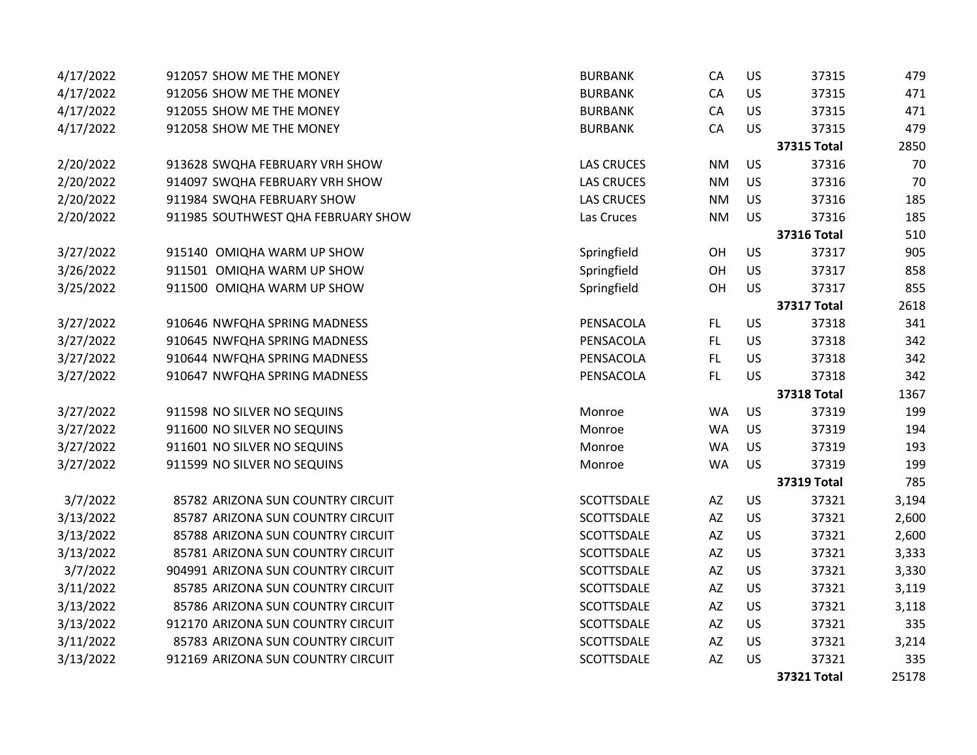| 4/17/2022 | 912057 SHOW ME THE MONEY           | <b>BURBANK</b>    | CA                     | US        | 37315              | 479   |
|-----------|------------------------------------|-------------------|------------------------|-----------|--------------------|-------|
| 4/17/2022 | 912056 SHOW ME THE MONEY           | <b>BURBANK</b>    | CA                     | US        | 37315              | 471   |
| 4/17/2022 | 912055 SHOW ME THE MONEY           | <b>BURBANK</b>    | CA                     | <b>US</b> | 37315              | 471   |
| 4/17/2022 | 912058 SHOW ME THE MONEY           | <b>BURBANK</b>    | CA                     | <b>US</b> | 37315              | 479   |
|           |                                    |                   |                        |           | <b>37315 Total</b> | 2850  |
| 2/20/2022 | 913628 SWQHA FEBRUARY VRH SHOW     | <b>LAS CRUCES</b> | <b>NM</b>              | US        | 37316              | 70    |
| 2/20/2022 | 914097 SWQHA FEBRUARY VRH SHOW     | <b>LAS CRUCES</b> | <b>NM</b>              | <b>US</b> | 37316              | 70    |
| 2/20/2022 | 911984 SWQHA FEBRUARY SHOW         | <b>LAS CRUCES</b> | <b>NM</b>              | <b>US</b> | 37316              | 185   |
| 2/20/2022 | 911985 SOUTHWEST QHA FEBRUARY SHOW | Las Cruces        | <b>NM</b>              | <b>US</b> | 37316              | 185   |
|           |                                    |                   |                        |           | <b>37316 Total</b> | 510   |
| 3/27/2022 | 915140 OMIQHA WARM UP SHOW         | Springfield       | OH                     | US        | 37317              | 905   |
| 3/26/2022 | 911501 OMIQHA WARM UP SHOW         | Springfield       | OH                     | <b>US</b> | 37317              | 858   |
| 3/25/2022 | 911500 OMIQHA WARM UP SHOW         | Springfield       | OH                     | US        | 37317              | 855   |
|           |                                    |                   |                        |           | <b>37317 Total</b> | 2618  |
| 3/27/2022 | 910646 NWFQHA SPRING MADNESS       | PENSACOLA         | FL.                    | US        | 37318              | 341   |
| 3/27/2022 | 910645 NWFQHA SPRING MADNESS       | PENSACOLA         | <b>FL</b>              | US        | 37318              | 342   |
| 3/27/2022 | 910644 NWFQHA SPRING MADNESS       | PENSACOLA         | FL.                    | <b>US</b> | 37318              | 342   |
| 3/27/2022 | 910647 NWFQHA SPRING MADNESS       | PENSACOLA         | FL                     | <b>US</b> | 37318              | 342   |
|           |                                    |                   |                        |           | <b>37318 Total</b> | 1367  |
| 3/27/2022 | 911598 NO SILVER NO SEQUINS        | Monroe            | <b>WA</b>              | US        | 37319              | 199   |
| 3/27/2022 | 911600 NO SILVER NO SEQUINS        | Monroe            | <b>WA</b>              | <b>US</b> | 37319              | 194   |
| 3/27/2022 | 911601 NO SILVER NO SEQUINS        | Monroe            | <b>WA</b>              | <b>US</b> | 37319              | 193   |
| 3/27/2022 | 911599 NO SILVER NO SEQUINS        | Monroe            | <b>WA</b>              | <b>US</b> | 37319              | 199   |
|           |                                    |                   |                        |           | <b>37319 Total</b> | 785   |
| 3/7/2022  | 85782 ARIZONA SUN COUNTRY CIRCUIT  | SCOTTSDALE        | $\mathsf{A}\mathsf{Z}$ | US        | 37321              | 3,194 |
| 3/13/2022 | 85787 ARIZONA SUN COUNTRY CIRCUIT  | <b>SCOTTSDALE</b> | $\mathsf{A}\mathsf{Z}$ | US        | 37321              | 2,600 |
| 3/13/2022 | 85788 ARIZONA SUN COUNTRY CIRCUIT  | SCOTTSDALE        | AZ                     | US        | 37321              | 2,600 |
| 3/13/2022 | 85781 ARIZONA SUN COUNTRY CIRCUIT  | SCOTTSDALE        | AZ                     | US        | 37321              | 3,333 |
| 3/7/2022  | 904991 ARIZONA SUN COUNTRY CIRCUIT | SCOTTSDALE        | AZ                     | US        | 37321              | 3,330 |
| 3/11/2022 | 85785 ARIZONA SUN COUNTRY CIRCUIT  | SCOTTSDALE        | $\mathsf{A}\mathsf{Z}$ | US        | 37321              | 3,119 |
| 3/13/2022 | 85786 ARIZONA SUN COUNTRY CIRCUIT  | SCOTTSDALE        | AZ                     | US        | 37321              | 3,118 |
| 3/13/2022 | 912170 ARIZONA SUN COUNTRY CIRCUIT | SCOTTSDALE        | AZ                     | US        | 37321              | 335   |
| 3/11/2022 | 85783 ARIZONA SUN COUNTRY CIRCUIT  | SCOTTSDALE        | AZ                     | US        | 37321              | 3,214 |
| 3/13/2022 | 912169 ARIZONA SUN COUNTRY CIRCUIT | SCOTTSDALE        | AZ                     | US        | 37321              | 335   |
|           |                                    |                   |                        |           | 37321 Total        | 25178 |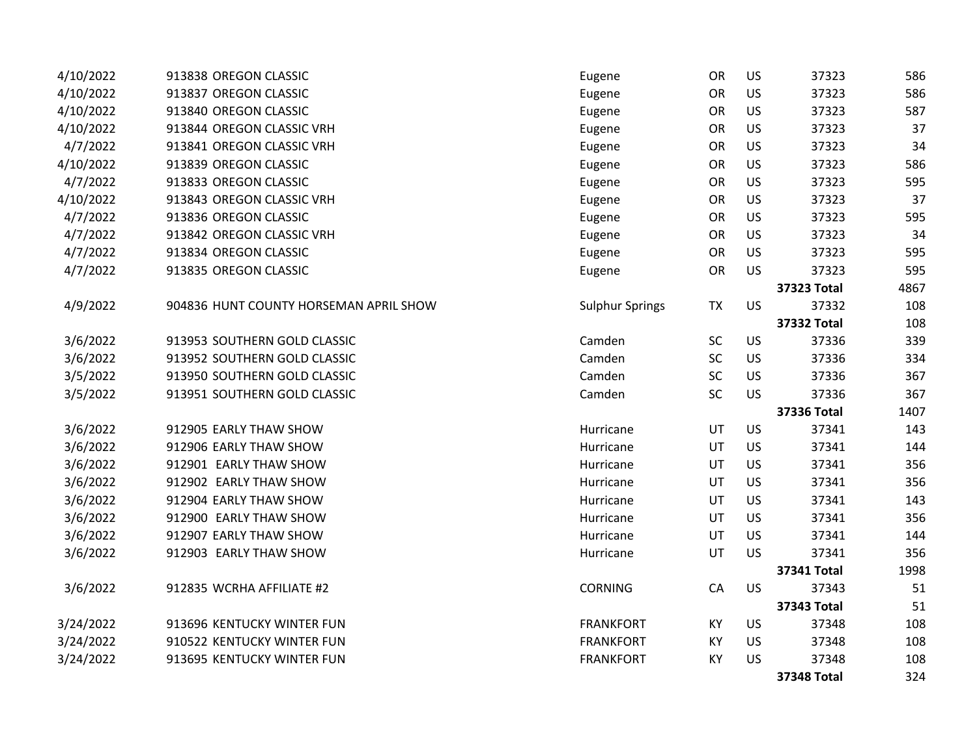| 4/10/2022 | 913838 OREGON CLASSIC                  | Eugene                 | OR        | US        | 37323              | 586  |
|-----------|----------------------------------------|------------------------|-----------|-----------|--------------------|------|
| 4/10/2022 | 913837 OREGON CLASSIC                  | Eugene                 | OR        | US        | 37323              | 586  |
| 4/10/2022 | 913840 OREGON CLASSIC                  | Eugene                 | OR        | US        | 37323              | 587  |
| 4/10/2022 | 913844 OREGON CLASSIC VRH              | Eugene                 | <b>OR</b> | US        | 37323              | 37   |
| 4/7/2022  | 913841 OREGON CLASSIC VRH              | Eugene                 | OR        | US        | 37323              | 34   |
| 4/10/2022 | 913839 OREGON CLASSIC                  | Eugene                 | OR        | US        | 37323              | 586  |
| 4/7/2022  | 913833 OREGON CLASSIC                  | Eugene                 | OR        | US        | 37323              | 595  |
| 4/10/2022 | 913843 OREGON CLASSIC VRH              | Eugene                 | OR        | US        | 37323              | 37   |
| 4/7/2022  | 913836 OREGON CLASSIC                  | Eugene                 | OR        | US        | 37323              | 595  |
| 4/7/2022  | 913842 OREGON CLASSIC VRH              | Eugene                 | OR        | US        | 37323              | 34   |
| 4/7/2022  | 913834 OREGON CLASSIC                  | Eugene                 | OR        | US        | 37323              | 595  |
| 4/7/2022  | 913835 OREGON CLASSIC                  | Eugene                 | OR        | US        | 37323              | 595  |
|           |                                        |                        |           |           | <b>37323 Total</b> | 4867 |
| 4/9/2022  | 904836 HUNT COUNTY HORSEMAN APRIL SHOW | <b>Sulphur Springs</b> | <b>TX</b> | <b>US</b> | 37332              | 108  |
|           |                                        |                        |           |           | <b>37332 Total</b> | 108  |
| 3/6/2022  | 913953 SOUTHERN GOLD CLASSIC           | Camden                 | SC        | US        | 37336              | 339  |
| 3/6/2022  | 913952 SOUTHERN GOLD CLASSIC           | Camden                 | <b>SC</b> | <b>US</b> | 37336              | 334  |
| 3/5/2022  | 913950 SOUTHERN GOLD CLASSIC           | Camden                 | <b>SC</b> | US        | 37336              | 367  |
| 3/5/2022  | 913951 SOUTHERN GOLD CLASSIC           | Camden                 | SC        | US        | 37336              | 367  |
|           |                                        |                        |           |           | 37336 Total        | 1407 |
| 3/6/2022  | 912905 EARLY THAW SHOW                 | Hurricane              | UT        | <b>US</b> | 37341              | 143  |
| 3/6/2022  | 912906 EARLY THAW SHOW                 | Hurricane              | UT        | US        | 37341              | 144  |
| 3/6/2022  | 912901 EARLY THAW SHOW                 | Hurricane              | UT        | US        | 37341              | 356  |
| 3/6/2022  | 912902 EARLY THAW SHOW                 | Hurricane              | UT        | US        | 37341              | 356  |
| 3/6/2022  | 912904 EARLY THAW SHOW                 | Hurricane              | UT        | US        | 37341              | 143  |
| 3/6/2022  | 912900 EARLY THAW SHOW                 | Hurricane              | UT        | US        | 37341              | 356  |
| 3/6/2022  | 912907 EARLY THAW SHOW                 | Hurricane              | UT        | US        | 37341              | 144  |
| 3/6/2022  | 912903 EARLY THAW SHOW                 | Hurricane              | UT        | US        | 37341              | 356  |
|           |                                        |                        |           |           | 37341 Total        | 1998 |
| 3/6/2022  | 912835 WCRHA AFFILIATE #2              | <b>CORNING</b>         | CA        | <b>US</b> | 37343              | 51   |
|           |                                        |                        |           |           | 37343 Total        | 51   |
| 3/24/2022 | 913696 KENTUCKY WINTER FUN             | <b>FRANKFORT</b>       | KY        | US        | 37348              | 108  |
| 3/24/2022 | 910522 KENTUCKY WINTER FUN             | <b>FRANKFORT</b>       | KY        | US        | 37348              | 108  |
| 3/24/2022 | 913695 KENTUCKY WINTER FUN             | <b>FRANKFORT</b>       | KY        | US        | 37348              | 108  |
|           |                                        |                        |           |           | <b>37348 Total</b> | 324  |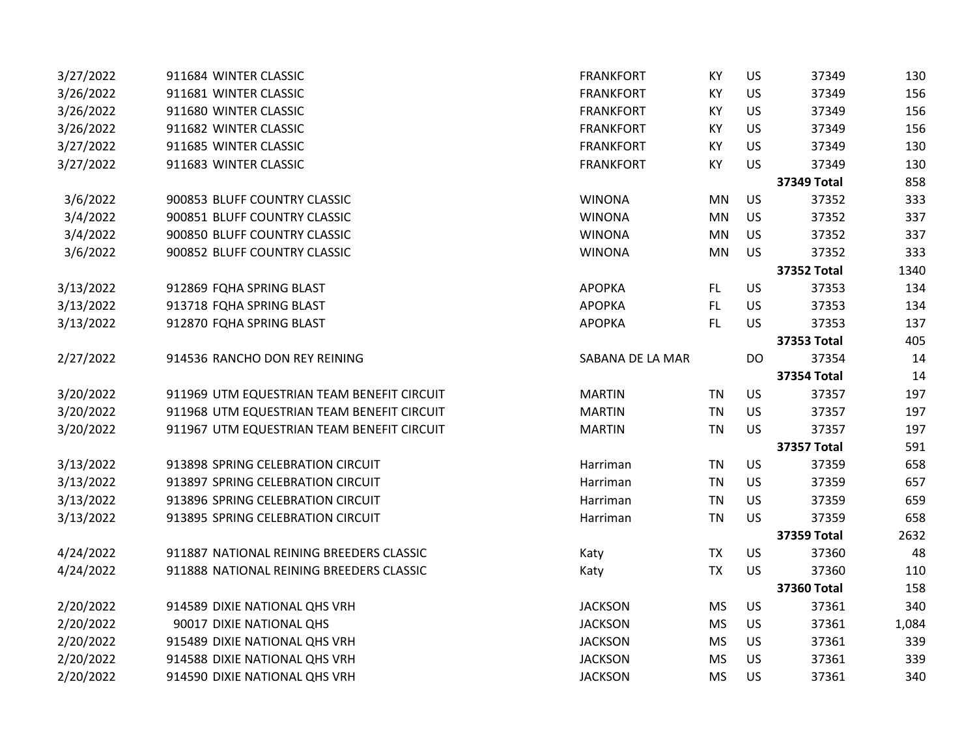| 3/27/2022 | 911684 WINTER CLASSIC                      | <b>FRANKFORT</b> | KY        | US        | 37349              | 130   |
|-----------|--------------------------------------------|------------------|-----------|-----------|--------------------|-------|
| 3/26/2022 | 911681 WINTER CLASSIC                      | <b>FRANKFORT</b> | KY        | US        | 37349              | 156   |
| 3/26/2022 | 911680 WINTER CLASSIC                      | <b>FRANKFORT</b> | KY        | US        | 37349              | 156   |
| 3/26/2022 | 911682 WINTER CLASSIC                      | <b>FRANKFORT</b> | KY        | US        | 37349              | 156   |
| 3/27/2022 | 911685 WINTER CLASSIC                      | <b>FRANKFORT</b> | KY        | US        | 37349              | 130   |
| 3/27/2022 | 911683 WINTER CLASSIC                      | <b>FRANKFORT</b> | KY        | US        | 37349              | 130   |
|           |                                            |                  |           |           | 37349 Total        | 858   |
| 3/6/2022  | 900853 BLUFF COUNTRY CLASSIC               | <b>WINONA</b>    | MN        | US        | 37352              | 333   |
| 3/4/2022  | 900851 BLUFF COUNTRY CLASSIC               | <b>WINONA</b>    | MN        | US        | 37352              | 337   |
| 3/4/2022  | 900850 BLUFF COUNTRY CLASSIC               | <b>WINONA</b>    | MN        | US        | 37352              | 337   |
| 3/6/2022  | 900852 BLUFF COUNTRY CLASSIC               | <b>WINONA</b>    | MN        | US        | 37352              | 333   |
|           |                                            |                  |           |           | <b>37352 Total</b> | 1340  |
| 3/13/2022 | 912869 FQHA SPRING BLAST                   | <b>APOPKA</b>    | FL.       | US        | 37353              | 134   |
| 3/13/2022 | 913718 FQHA SPRING BLAST                   | <b>APOPKA</b>    | FL.       | US        | 37353              | 134   |
| 3/13/2022 | 912870 FQHA SPRING BLAST                   | <b>APOPKA</b>    | FL.       | US        | 37353              | 137   |
|           |                                            |                  |           |           | 37353 Total        | 405   |
| 2/27/2022 | 914536 RANCHO DON REY REINING              | SABANA DE LA MAR |           | DO        | 37354              | 14    |
|           |                                            |                  |           |           | <b>37354 Total</b> | 14    |
| 3/20/2022 | 911969 UTM EQUESTRIAN TEAM BENEFIT CIRCUIT | <b>MARTIN</b>    | <b>TN</b> | US        | 37357              | 197   |
| 3/20/2022 | 911968 UTM EQUESTRIAN TEAM BENEFIT CIRCUIT | <b>MARTIN</b>    | <b>TN</b> | US        | 37357              | 197   |
| 3/20/2022 | 911967 UTM EQUESTRIAN TEAM BENEFIT CIRCUIT | <b>MARTIN</b>    | <b>TN</b> | US        | 37357              | 197   |
|           |                                            |                  |           |           | <b>37357 Total</b> | 591   |
| 3/13/2022 | 913898 SPRING CELEBRATION CIRCUIT          | Harriman         | <b>TN</b> | US        | 37359              | 658   |
| 3/13/2022 | 913897 SPRING CELEBRATION CIRCUIT          | Harriman         | <b>TN</b> | US        | 37359              | 657   |
| 3/13/2022 | 913896 SPRING CELEBRATION CIRCUIT          | Harriman         | <b>TN</b> | US        | 37359              | 659   |
| 3/13/2022 | 913895 SPRING CELEBRATION CIRCUIT          | Harriman         | <b>TN</b> | <b>US</b> | 37359              | 658   |
|           |                                            |                  |           |           | <b>37359 Total</b> | 2632  |
| 4/24/2022 | 911887 NATIONAL REINING BREEDERS CLASSIC   | Katy             | <b>TX</b> | US        | 37360              | 48    |
| 4/24/2022 | 911888 NATIONAL REINING BREEDERS CLASSIC   | Katy             | <b>TX</b> | US        | 37360              | 110   |
|           |                                            |                  |           |           | 37360 Total        | 158   |
| 2/20/2022 | 914589 DIXIE NATIONAL QHS VRH              | <b>JACKSON</b>   | <b>MS</b> | <b>US</b> | 37361              | 340   |
| 2/20/2022 | 90017 DIXIE NATIONAL QHS                   | <b>JACKSON</b>   | <b>MS</b> | US        | 37361              | 1,084 |
| 2/20/2022 | 915489 DIXIE NATIONAL QHS VRH              | <b>JACKSON</b>   | <b>MS</b> | US        | 37361              | 339   |
| 2/20/2022 | 914588 DIXIE NATIONAL QHS VRH              | <b>JACKSON</b>   | <b>MS</b> | US        | 37361              | 339   |
| 2/20/2022 | 914590 DIXIE NATIONAL QHS VRH              | <b>JACKSON</b>   | <b>MS</b> | US        | 37361              | 340   |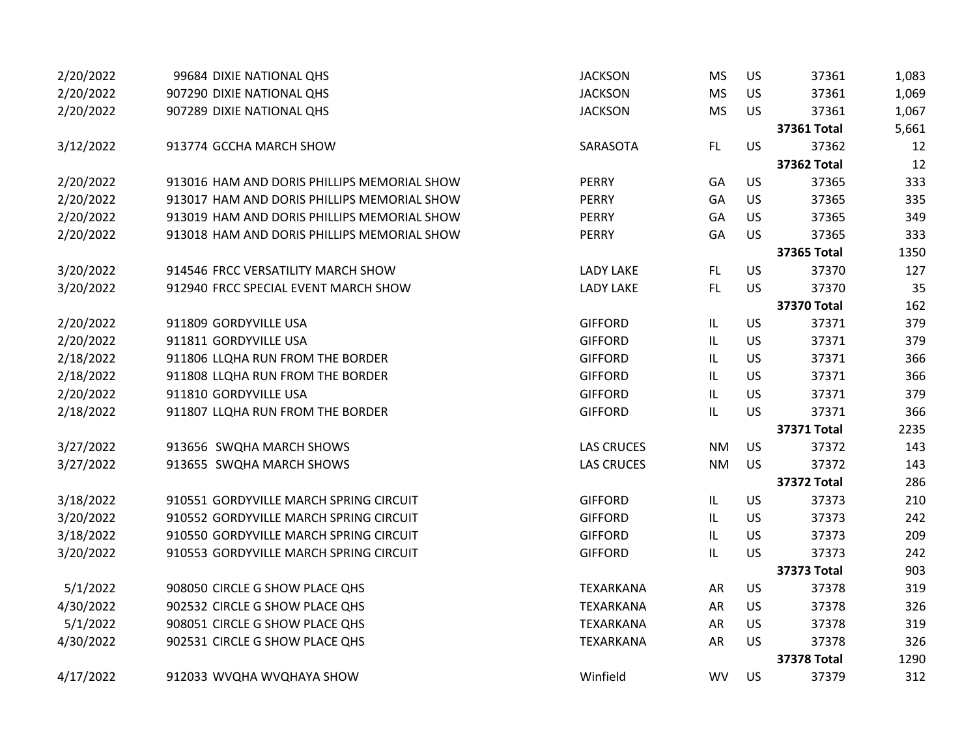| 2/20/2022 | 99684 DIXIE NATIONAL QHS                    | <b>JACKSON</b>    | <b>MS</b>                         | <b>US</b> | 37361              | 1,083 |
|-----------|---------------------------------------------|-------------------|-----------------------------------|-----------|--------------------|-------|
| 2/20/2022 | 907290 DIXIE NATIONAL QHS                   | <b>JACKSON</b>    | <b>MS</b>                         | US        | 37361              | 1,069 |
| 2/20/2022 | 907289 DIXIE NATIONAL QHS                   | <b>JACKSON</b>    | <b>MS</b>                         | <b>US</b> | 37361              | 1,067 |
|           |                                             |                   |                                   |           | 37361 Total        | 5,661 |
| 3/12/2022 | 913774 GCCHA MARCH SHOW                     | SARASOTA          | FL                                | <b>US</b> | 37362              | 12    |
|           |                                             |                   |                                   |           | 37362 Total        | 12    |
| 2/20/2022 | 913016 HAM AND DORIS PHILLIPS MEMORIAL SHOW | <b>PERRY</b>      | GA                                | US        | 37365              | 333   |
| 2/20/2022 | 913017 HAM AND DORIS PHILLIPS MEMORIAL SHOW | <b>PERRY</b>      | GA                                | US        | 37365              | 335   |
| 2/20/2022 | 913019 HAM AND DORIS PHILLIPS MEMORIAL SHOW | <b>PERRY</b>      | GA                                | <b>US</b> | 37365              | 349   |
| 2/20/2022 | 913018 HAM AND DORIS PHILLIPS MEMORIAL SHOW | <b>PERRY</b>      | GA                                | <b>US</b> | 37365              | 333   |
|           |                                             |                   |                                   |           | 37365 Total        | 1350  |
| 3/20/2022 | 914546 FRCC VERSATILITY MARCH SHOW          | <b>LADY LAKE</b>  | FL.                               | <b>US</b> | 37370              | 127   |
| 3/20/2022 | 912940 FRCC SPECIAL EVENT MARCH SHOW        | <b>LADY LAKE</b>  | FL                                | <b>US</b> | 37370              | 35    |
|           |                                             |                   |                                   |           | <b>37370 Total</b> | 162   |
| 2/20/2022 | 911809 GORDYVILLE USA                       | <b>GIFFORD</b>    | $\ensuremath{\mathsf{IL}}\xspace$ | <b>US</b> | 37371              | 379   |
| 2/20/2022 | 911811 GORDYVILLE USA                       | <b>GIFFORD</b>    | L                                 | <b>US</b> | 37371              | 379   |
| 2/18/2022 | 911806 LLQHA RUN FROM THE BORDER            | <b>GIFFORD</b>    | L                                 | <b>US</b> | 37371              | 366   |
| 2/18/2022 | 911808 LLQHA RUN FROM THE BORDER            | <b>GIFFORD</b>    | L                                 | <b>US</b> | 37371              | 366   |
| 2/20/2022 | 911810 GORDYVILLE USA                       | <b>GIFFORD</b>    | $\ensuremath{\mathsf{IL}}\xspace$ | US        | 37371              | 379   |
| 2/18/2022 | 911807 LLQHA RUN FROM THE BORDER            | <b>GIFFORD</b>    | $\ensuremath{\mathsf{IL}}\xspace$ | <b>US</b> | 37371              | 366   |
|           |                                             |                   |                                   |           | <b>37371 Total</b> | 2235  |
| 3/27/2022 | 913656 SWQHA MARCH SHOWS                    | <b>LAS CRUCES</b> | <b>NM</b>                         | <b>US</b> | 37372              | 143   |
| 3/27/2022 | 913655 SWQHA MARCH SHOWS                    | <b>LAS CRUCES</b> | <b>NM</b>                         | <b>US</b> | 37372              | 143   |
|           |                                             |                   |                                   |           | <b>37372 Total</b> | 286   |
| 3/18/2022 | 910551 GORDYVILLE MARCH SPRING CIRCUIT      | <b>GIFFORD</b>    | $\ensuremath{\mathsf{IL}}\xspace$ | <b>US</b> | 37373              | 210   |
| 3/20/2022 | 910552 GORDYVILLE MARCH SPRING CIRCUIT      | <b>GIFFORD</b>    | $\sf IL$                          | US        | 37373              | 242   |
| 3/18/2022 | 910550 GORDYVILLE MARCH SPRING CIRCUIT      | <b>GIFFORD</b>    | $\sf IL$                          | <b>US</b> | 37373              | 209   |
| 3/20/2022 | 910553 GORDYVILLE MARCH SPRING CIRCUIT      | <b>GIFFORD</b>    | IL                                | <b>US</b> | 37373              | 242   |
|           |                                             |                   |                                   |           | <b>37373 Total</b> | 903   |
| 5/1/2022  | 908050 CIRCLE G SHOW PLACE QHS              | <b>TEXARKANA</b>  | AR                                | <b>US</b> | 37378              | 319   |
| 4/30/2022 | 902532 CIRCLE G SHOW PLACE QHS              | <b>TEXARKANA</b>  | AR                                | <b>US</b> | 37378              | 326   |
| 5/1/2022  | 908051 CIRCLE G SHOW PLACE QHS              | TEXARKANA         | AR                                | US        | 37378              | 319   |
| 4/30/2022 | 902531 CIRCLE G SHOW PLACE QHS              | TEXARKANA         | AR                                | <b>US</b> | 37378              | 326   |
|           |                                             |                   |                                   |           | <b>37378 Total</b> | 1290  |
| 4/17/2022 | 912033 WVQHA WVQHAYA SHOW                   | Winfield          | <b>WV</b>                         | <b>US</b> | 37379              | 312   |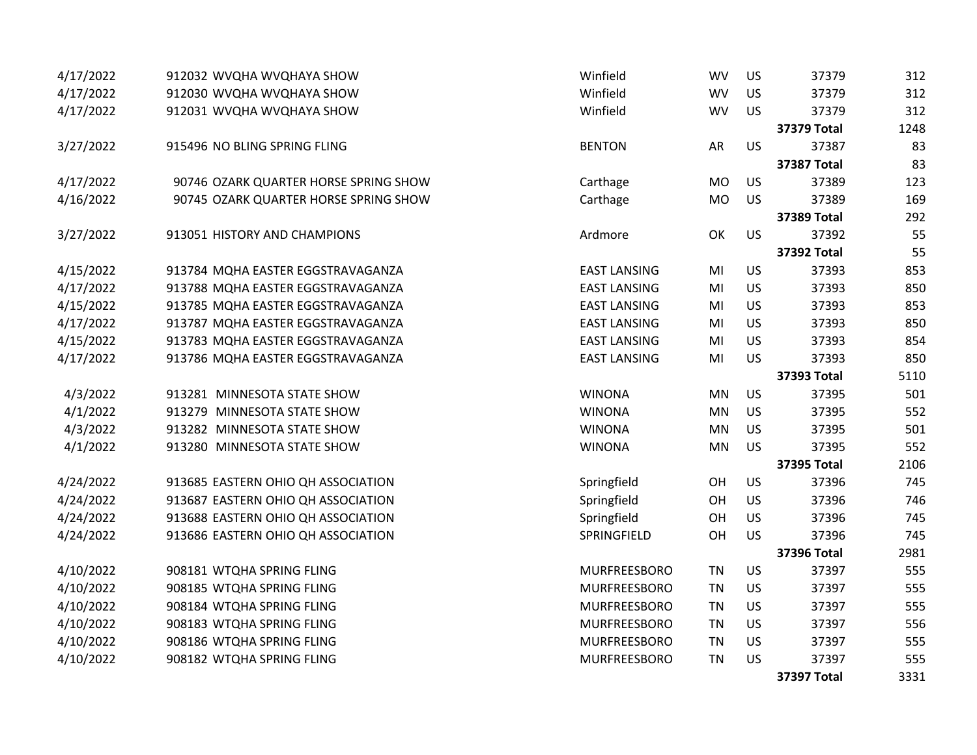| 4/17/2022 | 912032 WVQHA WVQHAYA SHOW             | Winfield            | <b>WV</b>      | US        | 37379              | 312  |
|-----------|---------------------------------------|---------------------|----------------|-----------|--------------------|------|
| 4/17/2022 | 912030 WVQHA WVQHAYA SHOW             | Winfield            | <b>WV</b>      | <b>US</b> | 37379              | 312  |
| 4/17/2022 | 912031 WVQHA WVQHAYA SHOW             | Winfield            | <b>WV</b>      | US        | 37379              | 312  |
|           |                                       |                     |                |           | <b>37379 Total</b> | 1248 |
| 3/27/2022 | 915496 NO BLING SPRING FLING          | <b>BENTON</b>       | AR             | US        | 37387              | 83   |
|           |                                       |                     |                |           | <b>37387 Total</b> | 83   |
| 4/17/2022 | 90746 OZARK QUARTER HORSE SPRING SHOW | Carthage            | <b>MO</b>      | <b>US</b> | 37389              | 123  |
| 4/16/2022 | 90745 OZARK QUARTER HORSE SPRING SHOW | Carthage            | <b>MO</b>      | <b>US</b> | 37389              | 169  |
|           |                                       |                     |                |           | 37389 Total        | 292  |
| 3/27/2022 | 913051 HISTORY AND CHAMPIONS          | Ardmore             | OK             | US        | 37392              | 55   |
|           |                                       |                     |                |           | 37392 Total        | 55   |
| 4/15/2022 | 913784 MQHA EASTER EGGSTRAVAGANZA     | <b>EAST LANSING</b> | MI             | US        | 37393              | 853  |
| 4/17/2022 | 913788 MQHA EASTER EGGSTRAVAGANZA     | <b>EAST LANSING</b> | MI             | US        | 37393              | 850  |
| 4/15/2022 | 913785 MQHA EASTER EGGSTRAVAGANZA     | <b>EAST LANSING</b> | MI             | US        | 37393              | 853  |
| 4/17/2022 | 913787 MQHA EASTER EGGSTRAVAGANZA     | <b>EAST LANSING</b> | MI             | US        | 37393              | 850  |
| 4/15/2022 | 913783 MQHA EASTER EGGSTRAVAGANZA     | <b>EAST LANSING</b> | M <sub>l</sub> | US        | 37393              | 854  |
| 4/17/2022 | 913786 MQHA EASTER EGGSTRAVAGANZA     | <b>EAST LANSING</b> | MI             | US        | 37393              | 850  |
|           |                                       |                     |                |           | 37393 Total        | 5110 |
| 4/3/2022  | 913281 MINNESOTA STATE SHOW           | <b>WINONA</b>       | MN             | US        | 37395              | 501  |
| 4/1/2022  | 913279 MINNESOTA STATE SHOW           | <b>WINONA</b>       | MN             | US        | 37395              | 552  |
| 4/3/2022  | 913282 MINNESOTA STATE SHOW           | <b>WINONA</b>       | MN             | US        | 37395              | 501  |
| 4/1/2022  | 913280 MINNESOTA STATE SHOW           | <b>WINONA</b>       | MN             | US        | 37395              | 552  |
|           |                                       |                     |                |           | <b>37395 Total</b> | 2106 |
| 4/24/2022 | 913685 EASTERN OHIO QH ASSOCIATION    | Springfield         | OH             | US        | 37396              | 745  |
| 4/24/2022 | 913687 EASTERN OHIO QH ASSOCIATION    | Springfield         | OH             | US        | 37396              | 746  |
| 4/24/2022 | 913688 EASTERN OHIO QH ASSOCIATION    | Springfield         | OH             | US        | 37396              | 745  |
| 4/24/2022 | 913686 EASTERN OHIO QH ASSOCIATION    | SPRINGFIELD         | OH             | US        | 37396              | 745  |
|           |                                       |                     |                |           | <b>37396 Total</b> | 2981 |
| 4/10/2022 | 908181 WTQHA SPRING FLING             | MURFREESBORO        | <b>TN</b>      | US        | 37397              | 555  |
| 4/10/2022 | 908185 WTQHA SPRING FLING             | MURFREESBORO        | <b>TN</b>      | US        | 37397              | 555  |
| 4/10/2022 | 908184 WTQHA SPRING FLING             | MURFREESBORO        | <b>TN</b>      | US        | 37397              | 555  |
| 4/10/2022 | 908183 WTQHA SPRING FLING             | MURFREESBORO        | TN             | US        | 37397              | 556  |
| 4/10/2022 | 908186 WTQHA SPRING FLING             | MURFREESBORO        | <b>TN</b>      | US        | 37397              | 555  |
| 4/10/2022 | 908182 WTQHA SPRING FLING             | MURFREESBORO        | <b>TN</b>      | US        | 37397              | 555  |
|           |                                       |                     |                |           | <b>37397 Total</b> | 3331 |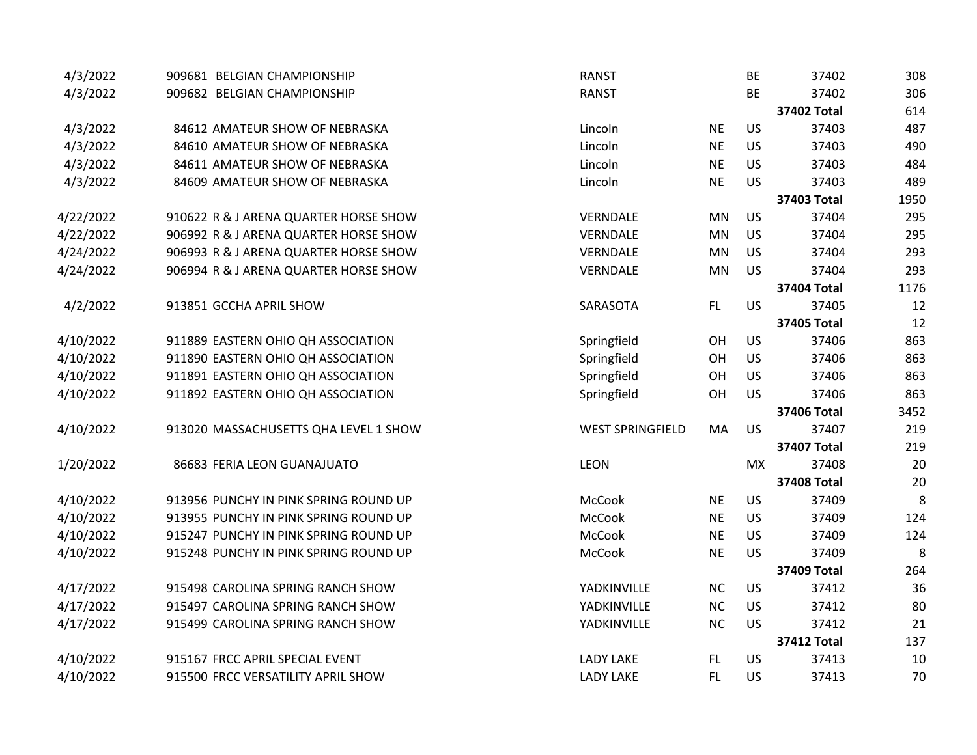| 4/3/2022  | 909681 BELGIAN CHAMPIONSHIP           | <b>RANST</b>            |           | <b>BE</b> | 37402              | 308  |
|-----------|---------------------------------------|-------------------------|-----------|-----------|--------------------|------|
| 4/3/2022  | 909682 BELGIAN CHAMPIONSHIP           | <b>RANST</b>            |           | <b>BE</b> | 37402              | 306  |
|           |                                       |                         |           |           | 37402 Total        | 614  |
| 4/3/2022  | 84612 AMATEUR SHOW OF NEBRASKA        | Lincoln                 | <b>NE</b> | <b>US</b> | 37403              | 487  |
| 4/3/2022  | 84610 AMATEUR SHOW OF NEBRASKA        | Lincoln                 | <b>NE</b> | <b>US</b> | 37403              | 490  |
| 4/3/2022  | 84611 AMATEUR SHOW OF NEBRASKA        | Lincoln                 | <b>NE</b> | <b>US</b> | 37403              | 484  |
| 4/3/2022  | 84609 AMATEUR SHOW OF NEBRASKA        | Lincoln                 | <b>NE</b> | US        | 37403              | 489  |
|           |                                       |                         |           |           | 37403 Total        | 1950 |
| 4/22/2022 | 910622 R & J ARENA QUARTER HORSE SHOW | VERNDALE                | <b>MN</b> | <b>US</b> | 37404              | 295  |
| 4/22/2022 | 906992 R & J ARENA QUARTER HORSE SHOW | VERNDALE                | <b>MN</b> | <b>US</b> | 37404              | 295  |
| 4/24/2022 | 906993 R & J ARENA QUARTER HORSE SHOW | VERNDALE                | <b>MN</b> | <b>US</b> | 37404              | 293  |
| 4/24/2022 | 906994 R & J ARENA QUARTER HORSE SHOW | VERNDALE                | <b>MN</b> | <b>US</b> | 37404              | 293  |
|           |                                       |                         |           |           | <b>37404 Total</b> | 1176 |
| 4/2/2022  | 913851 GCCHA APRIL SHOW               | SARASOTA                | FL        | <b>US</b> | 37405              | 12   |
|           |                                       |                         |           |           | <b>37405 Total</b> | 12   |
| 4/10/2022 | 911889 EASTERN OHIO QH ASSOCIATION    | Springfield             | OH        | US        | 37406              | 863  |
| 4/10/2022 | 911890 EASTERN OHIO QH ASSOCIATION    | Springfield             | OH        | <b>US</b> | 37406              | 863  |
| 4/10/2022 | 911891 EASTERN OHIO QH ASSOCIATION    | Springfield             | OH        | <b>US</b> | 37406              | 863  |
| 4/10/2022 | 911892 EASTERN OHIO QH ASSOCIATION    | Springfield             | OH        | US        | 37406              | 863  |
|           |                                       |                         |           |           | <b>37406 Total</b> | 3452 |
| 4/10/2022 | 913020 MASSACHUSETTS QHA LEVEL 1 SHOW | <b>WEST SPRINGFIELD</b> | MA        | <b>US</b> | 37407              | 219  |
|           |                                       |                         |           |           | <b>37407 Total</b> | 219  |
| 1/20/2022 | 86683 FERIA LEON GUANAJUATO           | LEON                    |           | <b>MX</b> | 37408              | 20   |
|           |                                       |                         |           |           | <b>37408 Total</b> | 20   |
| 4/10/2022 | 913956 PUNCHY IN PINK SPRING ROUND UP | <b>McCook</b>           | <b>NE</b> | <b>US</b> | 37409              | 8    |
| 4/10/2022 | 913955 PUNCHY IN PINK SPRING ROUND UP | McCook                  | <b>NE</b> | US        | 37409              | 124  |
| 4/10/2022 | 915247 PUNCHY IN PINK SPRING ROUND UP | McCook                  | <b>NE</b> | US        | 37409              | 124  |
| 4/10/2022 | 915248 PUNCHY IN PINK SPRING ROUND UP | McCook                  | <b>NE</b> | US        | 37409              | 8    |
|           |                                       |                         |           |           | <b>37409 Total</b> | 264  |
| 4/17/2022 | 915498 CAROLINA SPRING RANCH SHOW     | YADKINVILLE             | <b>NC</b> | <b>US</b> | 37412              | 36   |
| 4/17/2022 | 915497 CAROLINA SPRING RANCH SHOW     | YADKINVILLE             | NC        | US        | 37412              | 80   |
| 4/17/2022 | 915499 CAROLINA SPRING RANCH SHOW     | YADKINVILLE             | <b>NC</b> | US        | 37412              | 21   |
|           |                                       |                         |           |           | <b>37412 Total</b> | 137  |
| 4/10/2022 | 915167 FRCC APRIL SPECIAL EVENT       | <b>LADY LAKE</b>        | FL.       | <b>US</b> | 37413              | 10   |
| 4/10/2022 | 915500 FRCC VERSATILITY APRIL SHOW    | <b>LADY LAKE</b>        | <b>FL</b> | <b>US</b> | 37413              | 70   |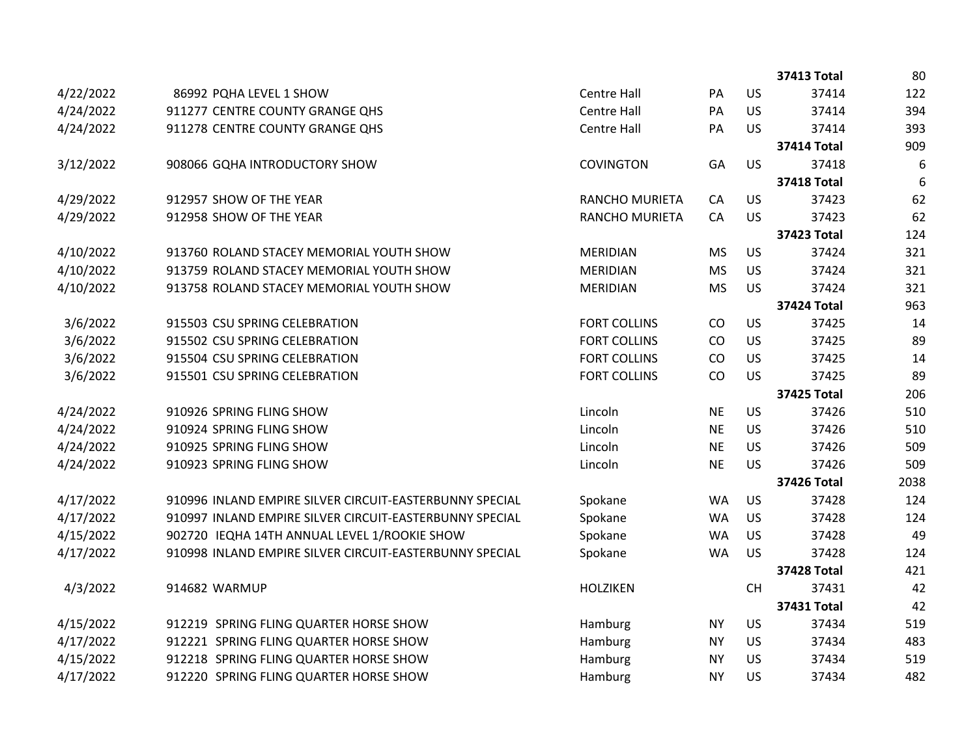|           |                                                         |                       |           |           | <b>37413 Total</b> | 80   |
|-----------|---------------------------------------------------------|-----------------------|-----------|-----------|--------------------|------|
| 4/22/2022 | 86992 PQHA LEVEL 1 SHOW                                 | <b>Centre Hall</b>    | PA        | <b>US</b> | 37414              | 122  |
| 4/24/2022 | 911277 CENTRE COUNTY GRANGE QHS                         | <b>Centre Hall</b>    | PA        | US        | 37414              | 394  |
| 4/24/2022 | 911278 CENTRE COUNTY GRANGE QHS                         | <b>Centre Hall</b>    | PA        | <b>US</b> | 37414              | 393  |
|           |                                                         |                       |           |           | <b>37414 Total</b> | 909  |
| 3/12/2022 | 908066 GQHA INTRODUCTORY SHOW                           | <b>COVINGTON</b>      | GA        | <b>US</b> | 37418              | 6    |
|           |                                                         |                       |           |           | <b>37418 Total</b> | 6    |
| 4/29/2022 | 912957 SHOW OF THE YEAR                                 | <b>RANCHO MURIETA</b> | CA        | US        | 37423              | 62   |
| 4/29/2022 | 912958 SHOW OF THE YEAR                                 | <b>RANCHO MURIETA</b> | CA        | <b>US</b> | 37423              | 62   |
|           |                                                         |                       |           |           | <b>37423 Total</b> | 124  |
| 4/10/2022 | 913760 ROLAND STACEY MEMORIAL YOUTH SHOW                | <b>MERIDIAN</b>       | <b>MS</b> | <b>US</b> | 37424              | 321  |
| 4/10/2022 | 913759 ROLAND STACEY MEMORIAL YOUTH SHOW                | <b>MERIDIAN</b>       | <b>MS</b> | US        | 37424              | 321  |
| 4/10/2022 | 913758 ROLAND STACEY MEMORIAL YOUTH SHOW                | <b>MERIDIAN</b>       | <b>MS</b> | <b>US</b> | 37424              | 321  |
|           |                                                         |                       |           |           | <b>37424 Total</b> | 963  |
| 3/6/2022  | 915503 CSU SPRING CELEBRATION                           | <b>FORT COLLINS</b>   | CO        | US        | 37425              | 14   |
| 3/6/2022  | 915502 CSU SPRING CELEBRATION                           | <b>FORT COLLINS</b>   | CO        | US        | 37425              | 89   |
| 3/6/2022  | 915504 CSU SPRING CELEBRATION                           | <b>FORT COLLINS</b>   | CO        | US        | 37425              | 14   |
| 3/6/2022  | 915501 CSU SPRING CELEBRATION                           | <b>FORT COLLINS</b>   | CO        | <b>US</b> | 37425              | 89   |
|           |                                                         |                       |           |           | <b>37425 Total</b> | 206  |
| 4/24/2022 | 910926 SPRING FLING SHOW                                | Lincoln               | <b>NE</b> | <b>US</b> | 37426              | 510  |
| 4/24/2022 | 910924 SPRING FLING SHOW                                | Lincoln               | <b>NE</b> | <b>US</b> | 37426              | 510  |
| 4/24/2022 | 910925 SPRING FLING SHOW                                | Lincoln               | <b>NE</b> | <b>US</b> | 37426              | 509  |
| 4/24/2022 | 910923 SPRING FLING SHOW                                | Lincoln               | <b>NE</b> | <b>US</b> | 37426              | 509  |
|           |                                                         |                       |           |           | 37426 Total        | 2038 |
| 4/17/2022 | 910996 INLAND EMPIRE SILVER CIRCUIT-EASTERBUNNY SPECIAL | Spokane               | <b>WA</b> | US        | 37428              | 124  |
| 4/17/2022 | 910997 INLAND EMPIRE SILVER CIRCUIT-EASTERBUNNY SPECIAL | Spokane               | <b>WA</b> | US        | 37428              | 124  |
| 4/15/2022 | 902720 IEQHA 14TH ANNUAL LEVEL 1/ROOKIE SHOW            | Spokane               | <b>WA</b> | <b>US</b> | 37428              | 49   |
| 4/17/2022 | 910998 INLAND EMPIRE SILVER CIRCUIT-EASTERBUNNY SPECIAL | Spokane               | <b>WA</b> | <b>US</b> | 37428              | 124  |
|           |                                                         |                       |           |           | <b>37428 Total</b> | 421  |
| 4/3/2022  | 914682 WARMUP                                           | <b>HOLZIKEN</b>       |           | CH        | 37431              | 42   |
|           |                                                         |                       |           |           | 37431 Total        | 42   |
| 4/15/2022 | 912219 SPRING FLING QUARTER HORSE SHOW                  | Hamburg               | <b>NY</b> | US        | 37434              | 519  |
| 4/17/2022 | 912221 SPRING FLING QUARTER HORSE SHOW                  | Hamburg               | <b>NY</b> | <b>US</b> | 37434              | 483  |
| 4/15/2022 | 912218 SPRING FLING QUARTER HORSE SHOW                  | Hamburg               | <b>NY</b> | US        | 37434              | 519  |
| 4/17/2022 | 912220 SPRING FLING QUARTER HORSE SHOW                  | Hamburg               | <b>NY</b> | US        | 37434              | 482  |
|           |                                                         |                       |           |           |                    |      |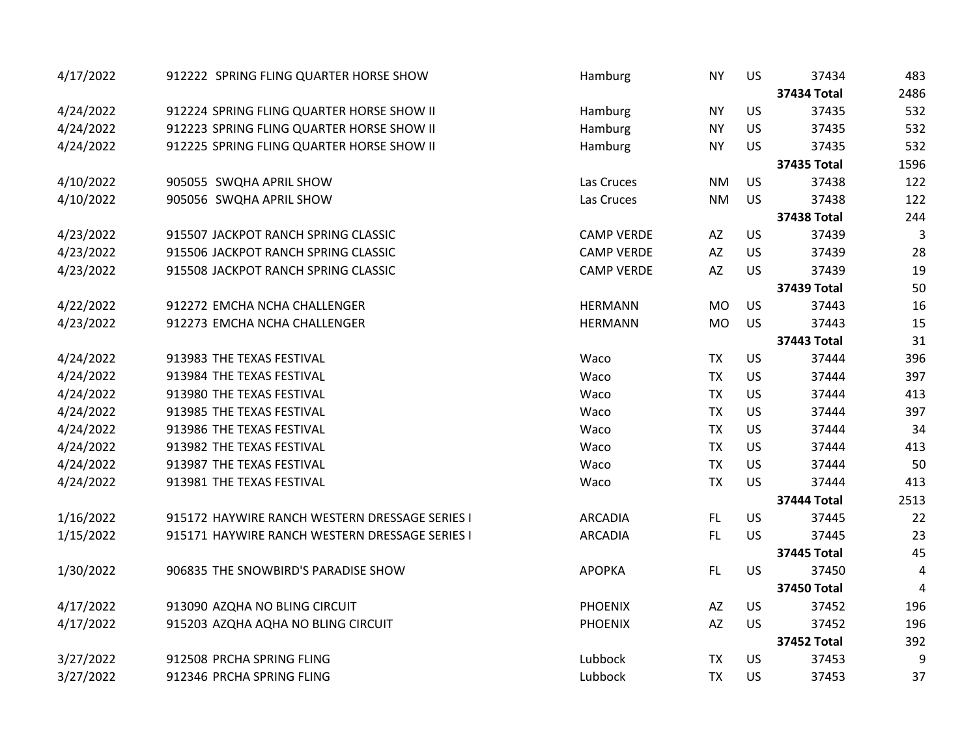| 4/17/2022 | 912222 SPRING FLING QUARTER HORSE SHOW         | Hamburg           | <b>NY</b>              | <b>US</b> | 37434              | 483  |
|-----------|------------------------------------------------|-------------------|------------------------|-----------|--------------------|------|
|           |                                                |                   |                        |           | <b>37434 Total</b> | 2486 |
| 4/24/2022 | 912224 SPRING FLING QUARTER HORSE SHOW II      | Hamburg           | <b>NY</b>              | <b>US</b> | 37435              | 532  |
| 4/24/2022 | 912223 SPRING FLING QUARTER HORSE SHOW II      | Hamburg           | <b>NY</b>              | <b>US</b> | 37435              | 532  |
| 4/24/2022 | 912225 SPRING FLING QUARTER HORSE SHOW II      | Hamburg           | <b>NY</b>              | <b>US</b> | 37435              | 532  |
|           |                                                |                   |                        |           | <b>37435 Total</b> | 1596 |
| 4/10/2022 | 905055 SWQHA APRIL SHOW                        | Las Cruces        | <b>NM</b>              | <b>US</b> | 37438              | 122  |
| 4/10/2022 | 905056 SWQHA APRIL SHOW                        | Las Cruces        | <b>NM</b>              | <b>US</b> | 37438              | 122  |
|           |                                                |                   |                        |           | <b>37438 Total</b> | 244  |
| 4/23/2022 | 915507 JACKPOT RANCH SPRING CLASSIC            | <b>CAMP VERDE</b> | AZ                     | <b>US</b> | 37439              | 3    |
| 4/23/2022 | 915506 JACKPOT RANCH SPRING CLASSIC            | <b>CAMP VERDE</b> | AZ                     | <b>US</b> | 37439              | 28   |
| 4/23/2022 | 915508 JACKPOT RANCH SPRING CLASSIC            | <b>CAMP VERDE</b> | $\mathsf{A}\mathsf{Z}$ | <b>US</b> | 37439              | 19   |
|           |                                                |                   |                        |           | 37439 Total        | 50   |
| 4/22/2022 | 912272 EMCHA NCHA CHALLENGER                   | <b>HERMANN</b>    | <b>MO</b>              | US        | 37443              | 16   |
| 4/23/2022 | 912273 EMCHA NCHA CHALLENGER                   | <b>HERMANN</b>    | <b>MO</b>              | US        | 37443              | 15   |
|           |                                                |                   |                        |           | <b>37443 Total</b> | 31   |
| 4/24/2022 | 913983 THE TEXAS FESTIVAL                      | Waco              | <b>TX</b>              | US        | 37444              | 396  |
| 4/24/2022 | 913984 THE TEXAS FESTIVAL                      | Waco              | <b>TX</b>              | <b>US</b> | 37444              | 397  |
| 4/24/2022 | 913980 THE TEXAS FESTIVAL                      | Waco              | <b>TX</b>              | <b>US</b> | 37444              | 413  |
| 4/24/2022 | 913985 THE TEXAS FESTIVAL                      | Waco              | <b>TX</b>              | <b>US</b> | 37444              | 397  |
| 4/24/2022 | 913986 THE TEXAS FESTIVAL                      | Waco              | <b>TX</b>              | US        | 37444              | 34   |
| 4/24/2022 | 913982 THE TEXAS FESTIVAL                      | Waco              | <b>TX</b>              | <b>US</b> | 37444              | 413  |
| 4/24/2022 | 913987 THE TEXAS FESTIVAL                      | Waco              | <b>TX</b>              | <b>US</b> | 37444              | 50   |
| 4/24/2022 | 913981 THE TEXAS FESTIVAL                      | Waco              | <b>TX</b>              | <b>US</b> | 37444              | 413  |
|           |                                                |                   |                        |           | <b>37444 Total</b> | 2513 |
| 1/16/2022 | 915172 HAYWIRE RANCH WESTERN DRESSAGE SERIES I | <b>ARCADIA</b>    | FL.                    | <b>US</b> | 37445              | 22   |
| 1/15/2022 | 915171 HAYWIRE RANCH WESTERN DRESSAGE SERIES I | <b>ARCADIA</b>    | FL.                    | <b>US</b> | 37445              | 23   |
|           |                                                |                   |                        |           | <b>37445 Total</b> | 45   |
| 1/30/2022 | 906835 THE SNOWBIRD'S PARADISE SHOW            | <b>APOPKA</b>     | FL.                    | <b>US</b> | 37450              | 4    |
|           |                                                |                   |                        |           | <b>37450 Total</b> | 4    |
| 4/17/2022 | 913090 AZQHA NO BLING CIRCUIT                  | <b>PHOENIX</b>    | AZ                     | <b>US</b> | 37452              | 196  |
| 4/17/2022 | 915203 AZQHA AQHA NO BLING CIRCUIT             | <b>PHOENIX</b>    | AZ                     | <b>US</b> | 37452              | 196  |
|           |                                                |                   |                        |           | <b>37452 Total</b> | 392  |
| 3/27/2022 | 912508 PRCHA SPRING FLING                      | Lubbock           | <b>TX</b>              | <b>US</b> | 37453              | 9    |
| 3/27/2022 | 912346 PRCHA SPRING FLING                      | Lubbock           | <b>TX</b>              | US        | 37453              | 37   |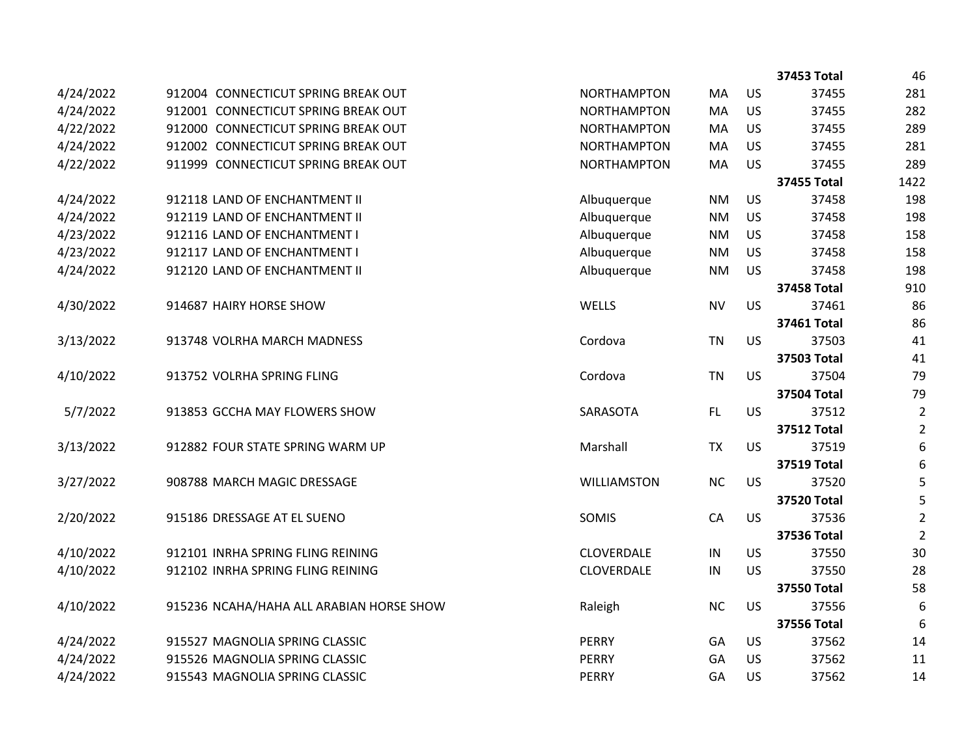|           |                                          |                    |               |           | <b>37453 Total</b> | 46             |
|-----------|------------------------------------------|--------------------|---------------|-----------|--------------------|----------------|
| 4/24/2022 | 912004 CONNECTICUT SPRING BREAK OUT      | <b>NORTHAMPTON</b> | MA            | US        | 37455              | 281            |
| 4/24/2022 | 912001 CONNECTICUT SPRING BREAK OUT      | <b>NORTHAMPTON</b> | MA            | US        | 37455              | 282            |
| 4/22/2022 | 912000 CONNECTICUT SPRING BREAK OUT      | <b>NORTHAMPTON</b> | MA            | <b>US</b> | 37455              | 289            |
| 4/24/2022 | 912002 CONNECTICUT SPRING BREAK OUT      | <b>NORTHAMPTON</b> | MA            | <b>US</b> | 37455              | 281            |
| 4/22/2022 | 911999 CONNECTICUT SPRING BREAK OUT      | <b>NORTHAMPTON</b> | MA            | <b>US</b> | 37455              | 289            |
|           |                                          |                    |               |           | <b>37455 Total</b> | 1422           |
| 4/24/2022 | 912118 LAND OF ENCHANTMENT II            | Albuquerque        | <b>NM</b>     | US        | 37458              | 198            |
| 4/24/2022 | 912119 LAND OF ENCHANTMENT II            | Albuquerque        | <b>NM</b>     | US        | 37458              | 198            |
| 4/23/2022 | 912116 LAND OF ENCHANTMENT I             | Albuquerque        | <b>NM</b>     | <b>US</b> | 37458              | 158            |
| 4/23/2022 | 912117 LAND OF ENCHANTMENT I             | Albuquerque        | <b>NM</b>     | <b>US</b> | 37458              | 158            |
| 4/24/2022 | 912120 LAND OF ENCHANTMENT II            | Albuquerque        | <b>NM</b>     | <b>US</b> | 37458              | 198            |
|           |                                          |                    |               |           | <b>37458 Total</b> | 910            |
| 4/30/2022 | 914687 HAIRY HORSE SHOW                  | WELLS              | <b>NV</b>     | <b>US</b> | 37461              | 86             |
|           |                                          |                    |               |           | 37461 Total        | 86             |
| 3/13/2022 | 913748 VOLRHA MARCH MADNESS              | Cordova            | <b>TN</b>     | <b>US</b> | 37503              | 41             |
|           |                                          |                    |               |           | 37503 Total        | 41             |
| 4/10/2022 | 913752 VOLRHA SPRING FLING               | Cordova            | <b>TN</b>     | <b>US</b> | 37504              | 79             |
|           |                                          |                    |               |           | <b>37504 Total</b> | 79             |
| 5/7/2022  | 913853 GCCHA MAY FLOWERS SHOW            | SARASOTA           | FL.           | <b>US</b> | 37512              | $\overline{2}$ |
|           |                                          |                    |               |           | <b>37512 Total</b> | $\overline{2}$ |
| 3/13/2022 | 912882 FOUR STATE SPRING WARM UP         | Marshall           | <b>TX</b>     | <b>US</b> | 37519              | 6              |
|           |                                          |                    |               |           | <b>37519 Total</b> | 6              |
| 3/27/2022 | 908788 MARCH MAGIC DRESSAGE              | <b>WILLIAMSTON</b> | <b>NC</b>     | <b>US</b> | 37520              | 5              |
|           |                                          |                    |               |           | <b>37520 Total</b> | 5              |
| 2/20/2022 | 915186 DRESSAGE AT EL SUENO              | SOMIS              | CA            | <b>US</b> | 37536              | $\overline{2}$ |
|           |                                          |                    |               |           | <b>37536 Total</b> | $\overline{2}$ |
| 4/10/2022 | 912101 INRHA SPRING FLING REINING        | CLOVERDALE         | $\sf IN$      | US        | 37550              | 30             |
| 4/10/2022 | 912102 INRHA SPRING FLING REINING        | CLOVERDALE         | $\mathsf{IN}$ | <b>US</b> | 37550              | 28             |
|           |                                          |                    |               |           | <b>37550 Total</b> | 58             |
| 4/10/2022 | 915236 NCAHA/HAHA ALL ARABIAN HORSE SHOW | Raleigh            | <b>NC</b>     | <b>US</b> | 37556              | 6              |
|           |                                          |                    |               |           | <b>37556 Total</b> | 6              |
| 4/24/2022 | 915527 MAGNOLIA SPRING CLASSIC           | <b>PERRY</b>       | GA            | US        | 37562              | 14             |
| 4/24/2022 | 915526 MAGNOLIA SPRING CLASSIC           | <b>PERRY</b>       | GA            | US        | 37562              | 11             |
| 4/24/2022 | 915543 MAGNOLIA SPRING CLASSIC           | <b>PERRY</b>       | GA            | <b>US</b> | 37562              | 14             |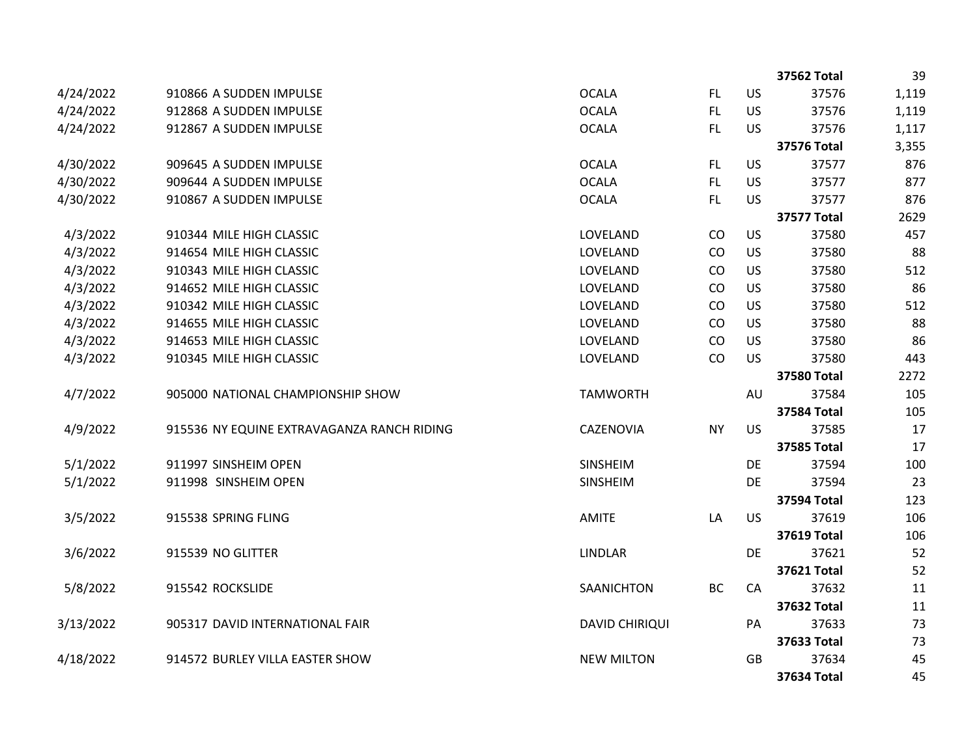|           |                                            |                       |           |           | 37562 Total        | 39    |
|-----------|--------------------------------------------|-----------------------|-----------|-----------|--------------------|-------|
| 4/24/2022 | 910866 A SUDDEN IMPULSE                    | <b>OCALA</b>          | FL.       | US        | 37576              | 1,119 |
| 4/24/2022 | 912868 A SUDDEN IMPULSE                    | <b>OCALA</b>          | FL.       | US        | 37576              | 1,119 |
| 4/24/2022 | 912867 A SUDDEN IMPULSE                    | <b>OCALA</b>          | FL.       | <b>US</b> | 37576              | 1,117 |
|           |                                            |                       |           |           | <b>37576 Total</b> | 3,355 |
| 4/30/2022 | 909645 A SUDDEN IMPULSE                    | <b>OCALA</b>          | FL.       | US        | 37577              | 876   |
| 4/30/2022 | 909644 A SUDDEN IMPULSE                    | <b>OCALA</b>          | FL.       | US        | 37577              | 877   |
| 4/30/2022 | 910867 A SUDDEN IMPULSE                    | <b>OCALA</b>          | FL.       | <b>US</b> | 37577              | 876   |
|           |                                            |                       |           |           | <b>37577 Total</b> | 2629  |
| 4/3/2022  | 910344 MILE HIGH CLASSIC                   | LOVELAND              | CO        | US        | 37580              | 457   |
| 4/3/2022  | 914654 MILE HIGH CLASSIC                   | LOVELAND              | CO        | US        | 37580              | 88    |
| 4/3/2022  | 910343 MILE HIGH CLASSIC                   | LOVELAND              | CO        | US        | 37580              | 512   |
| 4/3/2022  | 914652 MILE HIGH CLASSIC                   | LOVELAND              | CO        | US        | 37580              | 86    |
| 4/3/2022  | 910342 MILE HIGH CLASSIC                   | LOVELAND              | CO        | US        | 37580              | 512   |
| 4/3/2022  | 914655 MILE HIGH CLASSIC                   | LOVELAND              | CO        | US        | 37580              | 88    |
| 4/3/2022  | 914653 MILE HIGH CLASSIC                   | LOVELAND              | CO        | US        | 37580              | 86    |
| 4/3/2022  | 910345 MILE HIGH CLASSIC                   | LOVELAND              | CO        | <b>US</b> | 37580              | 443   |
|           |                                            |                       |           |           | <b>37580 Total</b> | 2272  |
| 4/7/2022  | 905000 NATIONAL CHAMPIONSHIP SHOW          | <b>TAMWORTH</b>       |           | AU        | 37584              | 105   |
|           |                                            |                       |           |           | <b>37584 Total</b> | 105   |
| 4/9/2022  | 915536 NY EQUINE EXTRAVAGANZA RANCH RIDING | CAZENOVIA             | <b>NY</b> | <b>US</b> | 37585              | 17    |
|           |                                            |                       |           |           | <b>37585 Total</b> | 17    |
| 5/1/2022  | 911997 SINSHEIM OPEN                       | SINSHEIM              |           | DE        | 37594              | 100   |
| 5/1/2022  | 911998 SINSHEIM OPEN                       | SINSHEIM              |           | DE        | 37594              | 23    |
|           |                                            |                       |           |           | <b>37594 Total</b> | 123   |
| 3/5/2022  | 915538 SPRING FLING                        | <b>AMITE</b>          | LA        | <b>US</b> | 37619              | 106   |
|           |                                            |                       |           |           | <b>37619 Total</b> | 106   |
| 3/6/2022  | 915539 NO GLITTER                          | <b>LINDLAR</b>        |           | DE        | 37621              | 52    |
|           |                                            |                       |           |           | <b>37621 Total</b> | 52    |
| 5/8/2022  | 915542 ROCKSLIDE                           | SAANICHTON            | <b>BC</b> | CA        | 37632              | 11    |
|           |                                            |                       |           |           | 37632 Total        | 11    |
| 3/13/2022 | 905317 DAVID INTERNATIONAL FAIR            | <b>DAVID CHIRIQUI</b> |           | PA        | 37633              | 73    |
|           |                                            |                       |           |           | 37633 Total        | 73    |
| 4/18/2022 | 914572 BURLEY VILLA EASTER SHOW            | <b>NEW MILTON</b>     |           | GB        | 37634              | 45    |
|           |                                            |                       |           |           | 37634 Total        | 45    |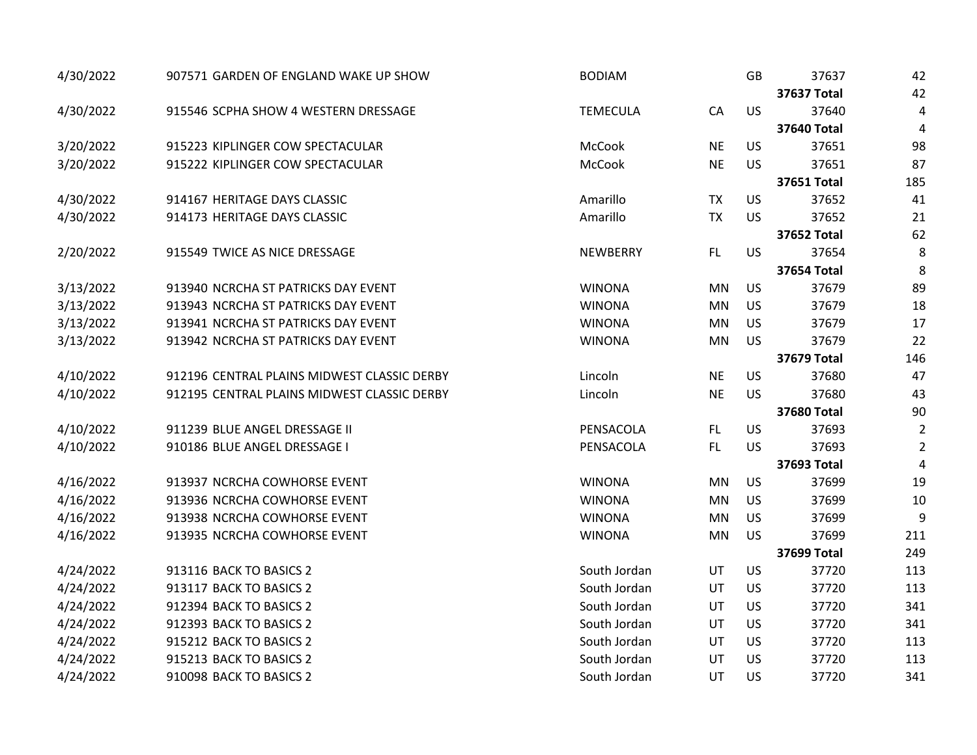| 4/30/2022 | 907571 GARDEN OF ENGLAND WAKE UP SHOW       | <b>BODIAM</b>   |           | GB        | 37637              | 42             |
|-----------|---------------------------------------------|-----------------|-----------|-----------|--------------------|----------------|
|           |                                             |                 |           |           | <b>37637 Total</b> | 42             |
| 4/30/2022 | 915546 SCPHA SHOW 4 WESTERN DRESSAGE        | <b>TEMECULA</b> | CA        | US        | 37640              | 4              |
|           |                                             |                 |           |           | <b>37640 Total</b> | 4              |
| 3/20/2022 | 915223 KIPLINGER COW SPECTACULAR            | McCook          | <b>NE</b> | US        | 37651              | 98             |
| 3/20/2022 | 915222 KIPLINGER COW SPECTACULAR            | McCook          | <b>NE</b> | US        | 37651              | 87             |
|           |                                             |                 |           |           | 37651 Total        | 185            |
| 4/30/2022 | 914167 HERITAGE DAYS CLASSIC                | Amarillo        | <b>TX</b> | US        | 37652              | 41             |
| 4/30/2022 | 914173 HERITAGE DAYS CLASSIC                | Amarillo        | <b>TX</b> | US        | 37652              | 21             |
|           |                                             |                 |           |           | <b>37652 Total</b> | 62             |
| 2/20/2022 | 915549 TWICE AS NICE DRESSAGE               | <b>NEWBERRY</b> | FL        | <b>US</b> | 37654              | 8              |
|           |                                             |                 |           |           | <b>37654 Total</b> | 8              |
| 3/13/2022 | 913940 NCRCHA ST PATRICKS DAY EVENT         | <b>WINONA</b>   | <b>MN</b> | US        | 37679              | 89             |
| 3/13/2022 | 913943 NCRCHA ST PATRICKS DAY EVENT         | <b>WINONA</b>   | <b>MN</b> | US        | 37679              | 18             |
| 3/13/2022 | 913941 NCRCHA ST PATRICKS DAY EVENT         | <b>WINONA</b>   | <b>MN</b> | US        | 37679              | 17             |
| 3/13/2022 | 913942 NCRCHA ST PATRICKS DAY EVENT         | <b>WINONA</b>   | <b>MN</b> | US        | 37679              | 22             |
|           |                                             |                 |           |           | <b>37679 Total</b> | 146            |
| 4/10/2022 | 912196 CENTRAL PLAINS MIDWEST CLASSIC DERBY | Lincoln         | <b>NE</b> | US        | 37680              | 47             |
| 4/10/2022 | 912195 CENTRAL PLAINS MIDWEST CLASSIC DERBY | Lincoln         | <b>NE</b> | US        | 37680              | 43             |
|           |                                             |                 |           |           | 37680 Total        | 90             |
| 4/10/2022 | 911239 BLUE ANGEL DRESSAGE II               | PENSACOLA       | FL        | US        | 37693              | $\overline{2}$ |
| 4/10/2022 | 910186 BLUE ANGEL DRESSAGE I                | PENSACOLA       | FL.       | US        | 37693              | $\overline{2}$ |
|           |                                             |                 |           |           | 37693 Total        | $\overline{4}$ |
| 4/16/2022 | 913937 NCRCHA COWHORSE EVENT                | <b>WINONA</b>   | <b>MN</b> | US        | 37699              | 19             |
| 4/16/2022 | 913936 NCRCHA COWHORSE EVENT                | <b>WINONA</b>   | <b>MN</b> | <b>US</b> | 37699              | 10             |
| 4/16/2022 | 913938 NCRCHA COWHORSE EVENT                | <b>WINONA</b>   | <b>MN</b> | US        | 37699              | 9              |
| 4/16/2022 | 913935 NCRCHA COWHORSE EVENT                | <b>WINONA</b>   | <b>MN</b> | <b>US</b> | 37699              | 211            |
|           |                                             |                 |           |           | <b>37699 Total</b> | 249            |
| 4/24/2022 | 913116 BACK TO BASICS 2                     | South Jordan    | UT        | US        | 37720              | 113            |
| 4/24/2022 | 913117 BACK TO BASICS 2                     | South Jordan    | UT        | <b>US</b> | 37720              | 113            |
| 4/24/2022 | 912394 BACK TO BASICS 2                     | South Jordan    | UT        | <b>US</b> | 37720              | 341            |
| 4/24/2022 | 912393 BACK TO BASICS 2                     | South Jordan    | UT        | <b>US</b> | 37720              | 341            |
| 4/24/2022 | 915212 BACK TO BASICS 2                     | South Jordan    | UT        | US        | 37720              | 113            |
| 4/24/2022 | 915213 BACK TO BASICS 2                     | South Jordan    | UT        | US        | 37720              | 113            |
| 4/24/2022 | 910098 BACK TO BASICS 2                     | South Jordan    | UT        | US        | 37720              | 341            |